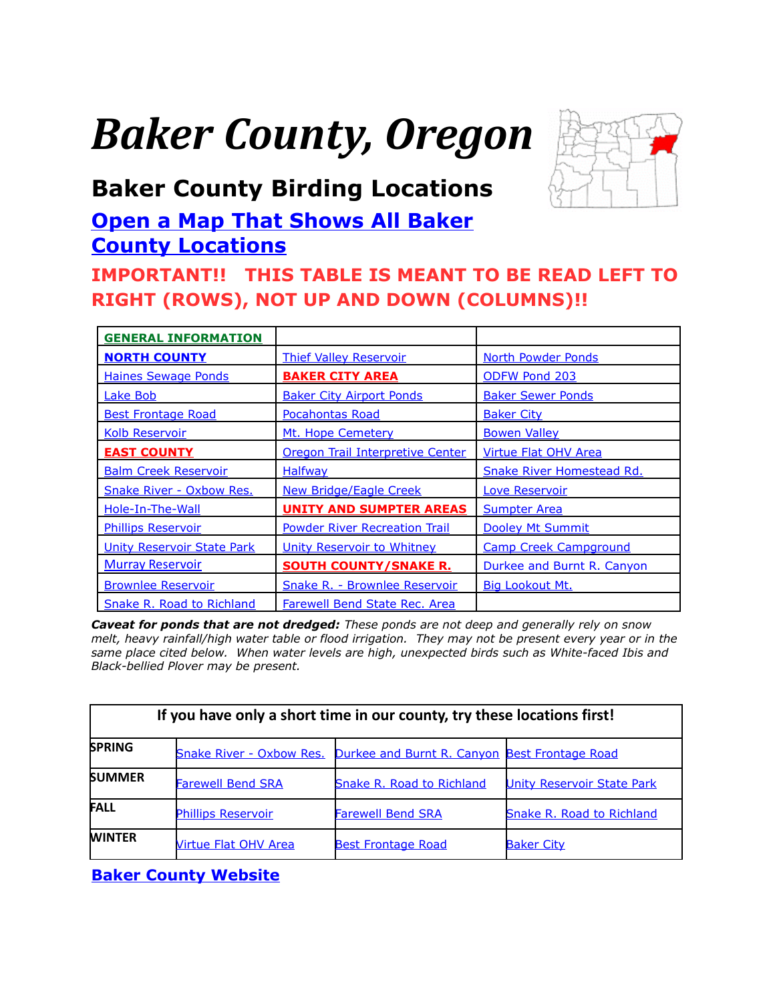# *Baker County, Oregon*



# <span id="page-0-0"></span>**Baker County Birding Locations**

# **[Open a Map That Shows All Baker](https://www.google.com/maps/d/edit?mid=zVl1oTDALjf4.kkTTurwHWYsA&usp=sharing) [County Locations](https://www.google.com/maps/d/edit?mid=zVl1oTDALjf4.kkTTurwHWYsA&usp=sharing)**

# **IMPORTANT!! THIS TABLE IS MEANT TO BE READ LEFT TO RIGHT (ROWS), NOT UP AND DOWN (COLUMNS)!!**

| <b>GENERAL INFORMATION</b>        |                                      |                                  |
|-----------------------------------|--------------------------------------|----------------------------------|
| <b>NORTH COUNTY</b>               | <b>Thief Valley Reservoir</b>        | <b>North Powder Ponds</b>        |
| <b>Haines Sewage Ponds</b>        | <b>BAKER CITY AREA</b>               | <b>ODFW Pond 203</b>             |
| <b>Lake Bob</b>                   | <b>Baker City Airport Ponds</b>      | <b>Baker Sewer Ponds</b>         |
| <b>Best Frontage Road</b>         | <b>Pocahontas Road</b>               | <b>Baker City</b>                |
| <b>Kolb Reservoir</b>             | Mt. Hope Cemetery                    | <b>Bowen Valley</b>              |
| <b>EAST COUNTY</b>                | Oregon Trail Interpretive Center     | <b>Virtue Flat OHV Area</b>      |
| <b>Balm Creek Reservoir</b>       | <b>Halfway</b>                       | <b>Snake River Homestead Rd.</b> |
| <b>Snake River - Oxbow Res.</b>   | <b>New Bridge/Eagle Creek</b>        | <b>Love Reservoir</b>            |
| Hole-In-The-Wall                  | <b>UNITY AND SUMPTER AREAS</b>       | <b>Sumpter Area</b>              |
| <b>Phillips Reservoir</b>         | <b>Powder River Recreation Trail</b> | Dooley Mt Summit                 |
| <b>Unity Reservoir State Park</b> | Unity Reservoir to Whitney           | <b>Camp Creek Campground</b>     |
| <b>Murray Reservoir</b>           | <b>SOUTH COUNTY/SNAKE R.</b>         | Durkee and Burnt R. Canyon       |
| <b>Brownlee Reservoir</b>         | <b>Snake R. - Brownlee Reservoir</b> | <b>Big Lookout Mt.</b>           |
| Snake R. Road to Richland         | Farewell Bend State Rec. Area        |                                  |

*Caveat for ponds that are not dredged: These ponds are not deep and generally rely on snow melt, heavy rainfall/high water table or flood irrigation. They may not be present every year or in the same place cited below. When water levels are high, unexpected birds such as White-faced Ibis and Black-bellied Plover may be present.*

| If you have only a short time in our county, try these locations first! |                                 |                                               |                                   |  |
|-------------------------------------------------------------------------|---------------------------------|-----------------------------------------------|-----------------------------------|--|
| <b>SPRING</b>                                                           | <b>Snake River - Oxbow Res.</b> | Durkee and Burnt R. Canyon Best Frontage Road |                                   |  |
| <b>SUMMER</b>                                                           | <b>Farewell Bend SRA</b>        | <b>Snake R. Road to Richland</b>              | <b>Unity Reservoir State Park</b> |  |
| <b>FALL</b>                                                             | <b>Phillips Reservoir</b>       | <b>Farewell Bend SRA</b>                      | <b>Snake R. Road to Richland</b>  |  |
| <b>WINTER</b>                                                           | <b>Nirtue Flat OHV Area</b>     | <b>Best Frontage Road</b>                     | <b>Baker City</b>                 |  |

**[Baker County Website](http://www.bakercounty.org/)**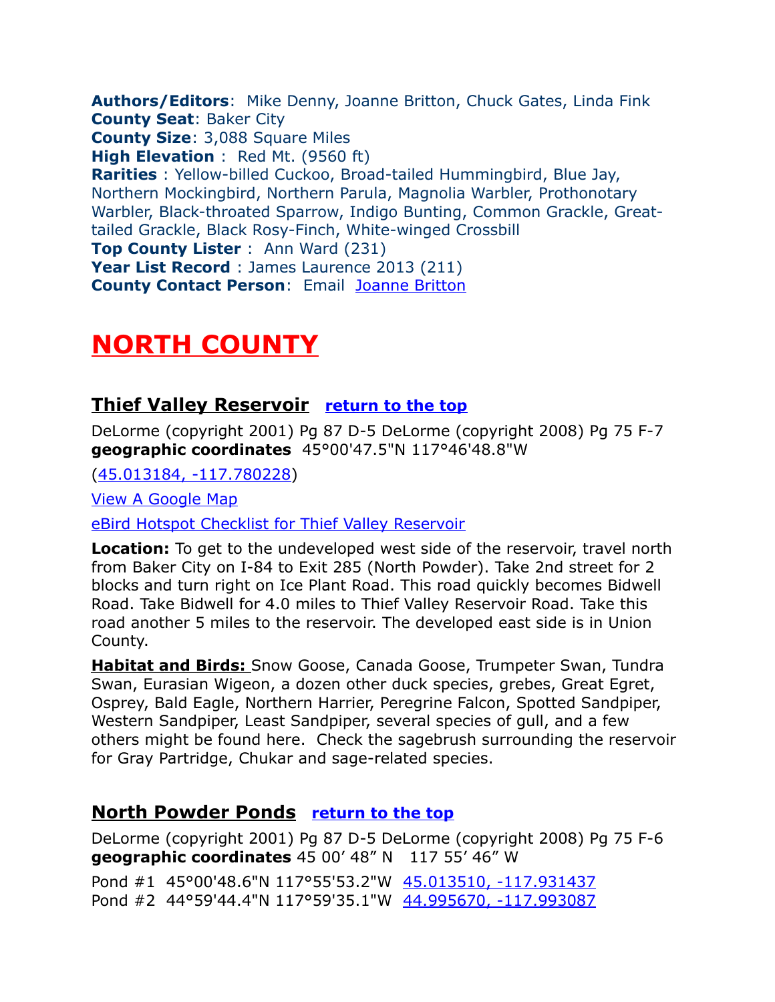<span id="page-1-3"></span>**Authors/Editors**: Mike Denny, Joanne Britton, Chuck Gates, Linda Fink **County Seat**: Baker City **County Size**: 3,088 Square Miles **High Elevation** : Red Mt. (9560 ft) **Rarities** : Yellow-billed Cuckoo, Broad-tailed Hummingbird, Blue Jay, Northern Mockingbird, Northern Parula, Magnolia Warbler, Prothonotary Warbler, Black-throated Sparrow, Indigo Bunting, Common Grackle, Greattailed Grackle, Black Rosy-Finch, White-winged Crossbill **Top County Lister** : Ann Ward (231) **Year List Record** : James Laurence 2013 (211) **County Contact Person**: Email [Joanne Britton](mailto:jobr@oregontrail.net)

# <span id="page-1-2"></span>**NORTH COUNTY**

#### <span id="page-1-1"></span>**Thief Valley Reservoir [return to the top](#page-0-0)**

DeLorme (copyright 2001) Pg 87 D-5 DeLorme (copyright 2008) Pg 75 F-7 **geographic coordinates** 45°00'47.5"N 117°46'48.8"W

[\(45.013184, -117.780228\)](https://www.google.com/maps/place/45%C2%B000)

[View A Google Map](http://maps.google.com/maps/ms?hl=en&ie=UTF8&msa=0&msid=108036481085398338899.00047629233755bc4513f&ll=45.020156,-117.78717&spn=0.193174,0.528374&z=12)

[eBird Hotspot Checklist for Thief Valley Reservoir](http://ebird.org/ebird/hotspot/L2430077?yr=all&m=&rank=mrec)

**Location:** To get to the undeveloped west side of the reservoir, travel north from Baker City on I-84 to Exit 285 (North Powder). Take 2nd street for 2 blocks and turn right on Ice Plant Road. This road quickly becomes Bidwell Road. Take Bidwell for 4.0 miles to Thief Valley Reservoir Road. Take this road another 5 miles to the reservoir. The developed east side is in Union County.

 **Habitat and Birds:** Snow Goose, Canada Goose, Trumpeter Swan, Tundra Swan, Eurasian Wigeon, a dozen other duck species, grebes, Great Egret, Osprey, Bald Eagle, Northern Harrier, Peregrine Falcon, Spotted Sandpiper, Western Sandpiper, Least Sandpiper, several species of gull, and a few others might be found here. Check the sagebrush surrounding the reservoir for Gray Partridge, Chukar and sage-related species.

#### <span id="page-1-0"></span>**North Powder Ponds [return to the top](#page-0-0)**

DeLorme (copyright 2001) Pg 87 D-5 DeLorme (copyright 2008) Pg 75 F-6 **geographic coordinates** 45 00' 48" N 117 55' 46" W

Pond #1 45°00'48.6"N 117°55'53.2"W [45.013510, -117.931437](https://www.google.com/maps/place/45%C2%B000)  Pond #2 44°59'44.4"N 117°59'35.1"W [44.995670, -117.993087](https://www.google.com/maps/place/44%C2%B059)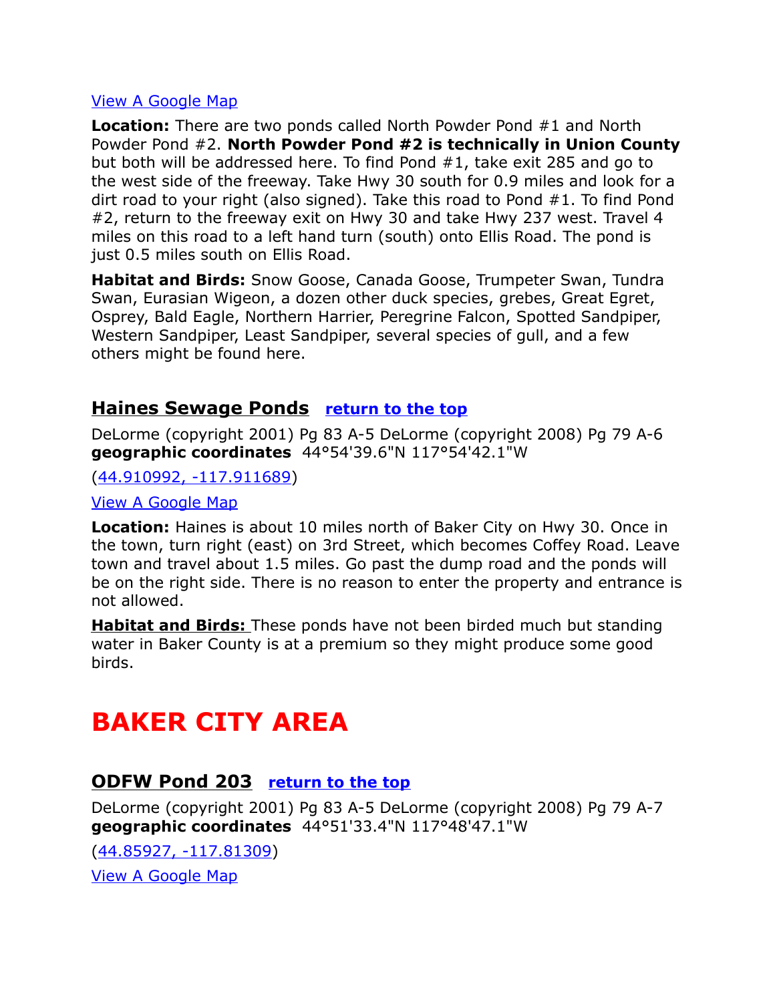#### [View A Google Map](http://maps.google.com/maps/ms?hl=en&ie=UTF8&msa=0&msid=108036481085398338899.00047641923690bce702b&ll=45.005108,-117.960205&spn=0.186184,0.528374&z=12)

**Location:** There are two ponds called North Powder Pond #1 and North Powder Pond #2. **North Powder Pond #2 is technically in Union County** but both will be addressed here. To find Pond #1, take exit 285 and go to the west side of the freeway. Take Hwy 30 south for 0.9 miles and look for a dirt road to your right (also signed). Take this road to Pond #1. To find Pond #2, return to the freeway exit on Hwy 30 and take Hwy 237 west. Travel 4 miles on this road to a left hand turn (south) onto Ellis Road. The pond is just 0.5 miles south on Ellis Road.

**Habitat and Birds:** Snow Goose, Canada Goose, Trumpeter Swan, Tundra Swan, Eurasian Wigeon, a dozen other duck species, grebes, Great Egret, Osprey, Bald Eagle, Northern Harrier, Peregrine Falcon, Spotted Sandpiper, Western Sandpiper, Least Sandpiper, several species of gull, and a few others might be found here.

#### <span id="page-2-2"></span>**Haines Sewage Ponds [return to the top](#page-0-0)**

DeLorme (copyright 2001) Pg 83 A-5 DeLorme (copyright 2008) Pg 79 A-6 **geographic coordinates** 44°54'39.6"N 117°54'42.1"W

[\(44.910992, -117.911689\)](https://www.google.com/maps/place/44%C2%B054)

[View A Google Map](http://maps.google.com/maps/ms?hl=en&ie=UTF8&msa=0&msid=108036481085398338899.00047744905a0a053252a&ll=44.913277,-117.91626&spn=0.372964,1.056747&z=11)

**Location:** Haines is about 10 miles north of Baker City on Hwy 30. Once in the town, turn right (east) on 3rd Street, which becomes Coffey Road. Leave town and travel about 1.5 miles. Go past the dump road and the ponds will be on the right side. There is no reason to enter the property and entrance is not allowed.

 **Habitat and Birds:** These ponds have not been birded much but standing water in Baker County is at a premium so they might produce some good birds.

# <span id="page-2-1"></span>**BAKER CITY AREA**

#### <span id="page-2-0"></span>**ODFW Pond 203 [return to the top](#page-0-0)**

DeLorme (copyright 2001) Pg 83 A-5 DeLorme (copyright 2008) Pg 79 A-7 **geographic coordinates** 44°51'33.4"N 117°48'47.1"W

[\(44.85927, -117.81309\)](https://www.google.com/maps/place/44%C2%B051) [View A Google Map](http://maps.google.com/maps/ms?hl=en&ie=UTF8&msa=0&msid=108036481085398338899.00047628f17a2673b0cb6&ll=44.792556,-117.786484&spn=0.38788,1.056747&z=11)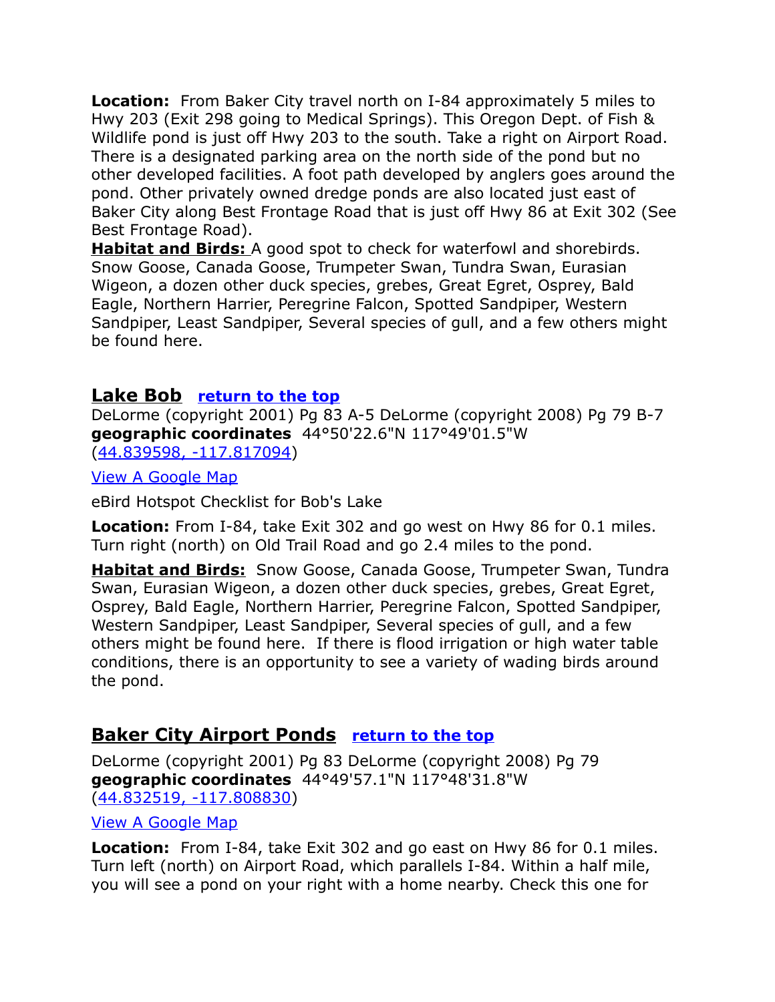**Location:** From Baker City travel north on I-84 approximately 5 miles to Hwy 203 (Exit 298 going to Medical Springs). This Oregon Dept. of Fish & Wildlife pond is just off Hwy 203 to the south. Take a right on Airport Road. There is a designated parking area on the north side of the pond but no other developed facilities. A foot path developed by anglers goes around the pond. Other privately owned dredge ponds are also located just east of Baker City along Best Frontage Road that is just off Hwy 86 at Exit 302 (See Best Frontage Road).

 **Habitat and Birds:** A good spot to check for waterfowl and shorebirds. Snow Goose, Canada Goose, Trumpeter Swan, Tundra Swan, Eurasian Wigeon, a dozen other duck species, grebes, Great Egret, Osprey, Bald Eagle, Northern Harrier, Peregrine Falcon, Spotted Sandpiper, Western Sandpiper, Least Sandpiper, Several species of gull, and a few others might be found here.

#### <span id="page-3-1"></span>**Lake Bob [return to the top](#page-0-0)**

DeLorme (copyright 2001) Pg 83 A-5 DeLorme (copyright 2008) Pg 79 B-7 **geographic coordinates** 44°50'22.6"N 117°49'01.5"W [\(44.839598, -117.817094\)](https://www.google.com/maps/place/44%C2%B050)

[View A Google Map](http://maps.google.com/maps/ms?hl=en&ie=UTF8&msa=0&msid=108036481085398338899.00047628f17a2673b0cb6&ll=44.792556,-117.786484&spn=0.38788,1.056747&z=11)

eBird Hotspot Checklist for Bob's Lake

**Location:** From I-84, take Exit 302 and go west on Hwy 86 for 0.1 miles. Turn right (north) on Old Trail Road and go 2.4 miles to the pond.

**Habitat and Birds:** Snow Goose, Canada Goose, Trumpeter Swan, Tundra Swan, Eurasian Wigeon, a dozen other duck species, grebes, Great Egret, Osprey, Bald Eagle, Northern Harrier, Peregrine Falcon, Spotted Sandpiper, Western Sandpiper, Least Sandpiper, Several species of gull, and a few others might be found here. If there is flood irrigation or high water table conditions, there is an opportunity to see a variety of wading birds around the pond.

# <span id="page-3-0"></span>**Baker City Airport Ponds [return to the top](#page-0-0)**

DeLorme (copyright 2001) Pg 83 DeLorme (copyright 2008) Pg 79 **geographic coordinates** 44°49'57.1"N 117°48'31.8"W [\(44.832519, -117.808830\)](https://www.google.com/maps/place/44%C2%B049)

#### [View A Google Map](http://maps.google.com/maps/ms?hl=en&ie=UTF8&msa=0&msid=108036481085398338899.00047628f17a2673b0cb6&ll=44.792556,-117.786484&spn=0.38788,1.056747&z=11)

**Location:** From I-84, take Exit 302 and go east on Hwy 86 for 0.1 miles. Turn left (north) on Airport Road, which parallels I-84. Within a half mile, you will see a pond on your right with a home nearby. Check this one for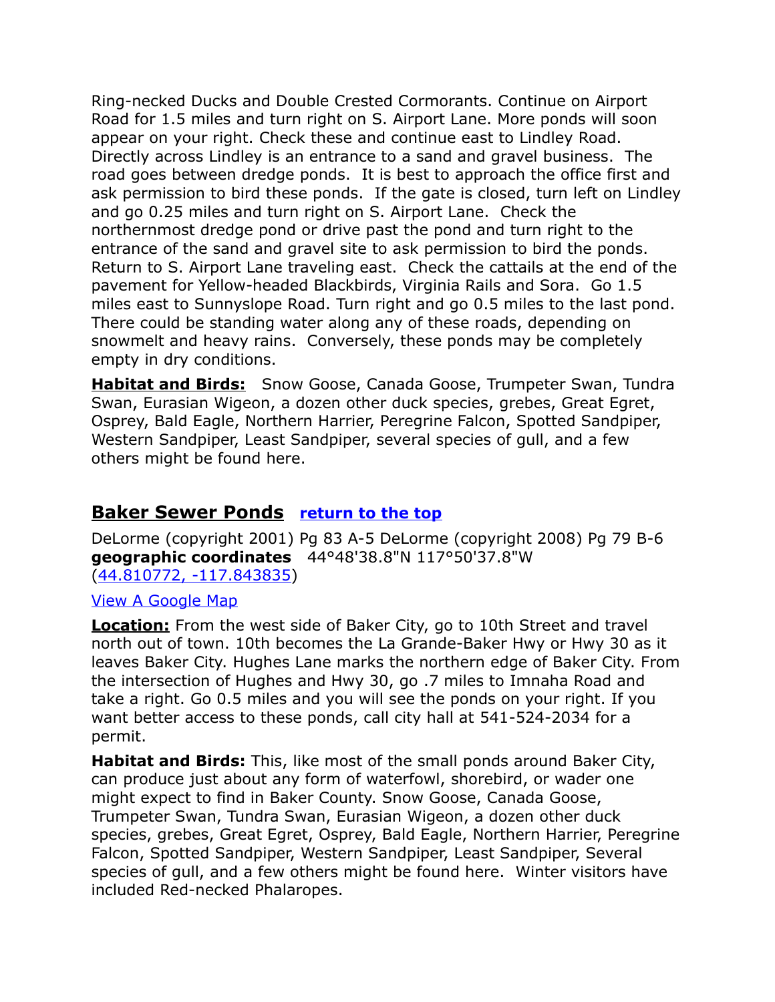Ring-necked Ducks and Double Crested Cormorants. Continue on Airport Road for 1.5 miles and turn right on S. Airport Lane. More ponds will soon appear on your right. Check these and continue east to Lindley Road. Directly across Lindley is an entrance to a sand and gravel business. The road goes between dredge ponds. It is best to approach the office first and ask permission to bird these ponds. If the gate is closed, turn left on Lindley and go 0.25 miles and turn right on S. Airport Lane. Check the northernmost dredge pond or drive past the pond and turn right to the entrance of the sand and gravel site to ask permission to bird the ponds. Return to S. Airport Lane traveling east. Check the cattails at the end of the pavement for Yellow-headed Blackbirds, Virginia Rails and Sora. Go 1.5 miles east to Sunnyslope Road. Turn right and go 0.5 miles to the last pond. There could be standing water along any of these roads, depending on snowmelt and heavy rains. Conversely, these ponds may be completely empty in dry conditions.

**Habitat and Birds:** Snow Goose, Canada Goose, Trumpeter Swan, Tundra Swan, Eurasian Wigeon, a dozen other duck species, grebes, Great Egret, Osprey, Bald Eagle, Northern Harrier, Peregrine Falcon, Spotted Sandpiper, Western Sandpiper, Least Sandpiper, several species of gull, and a few others might be found here.

# <span id="page-4-0"></span>**Baker Sewer Ponds [return to the top](#page-0-0)**

DeLorme (copyright 2001) Pg 83 A-5 DeLorme (copyright 2008) Pg 79 B-6 **geographic coordinates** 44°48'38.8"N 117°50'37.8"W [\(44.810772, -117.843835\)](https://www.google.com/maps/place/44%C2%B048)

#### [View A Google Map](http://maps.google.com/maps/ms?hl=en&ie=UTF8&msa=0&msid=108036481085398338899.00047628f17a2673b0cb6&ll=44.792556,-117.786484&spn=0.38788,1.056747&z=11)

**Location:** From the west side of Baker City, go to 10th Street and travel north out of town. 10th becomes the La Grande-Baker Hwy or Hwy 30 as it leaves Baker City. Hughes Lane marks the northern edge of Baker City. From the intersection of Hughes and Hwy 30, go .7 miles to Imnaha Road and take a right. Go 0.5 miles and you will see the ponds on your right. If you want better access to these ponds, call city hall at 541-524-2034 for a permit.

**Habitat and Birds:** This, like most of the small ponds around Baker City, can produce just about any form of waterfowl, shorebird, or wader one might expect to find in Baker County. Snow Goose, Canada Goose, Trumpeter Swan, Tundra Swan, Eurasian Wigeon, a dozen other duck species, grebes, Great Egret, Osprey, Bald Eagle, Northern Harrier, Peregrine Falcon, Spotted Sandpiper, Western Sandpiper, Least Sandpiper, Several species of gull, and a few others might be found here. Winter visitors have included Red-necked Phalaropes.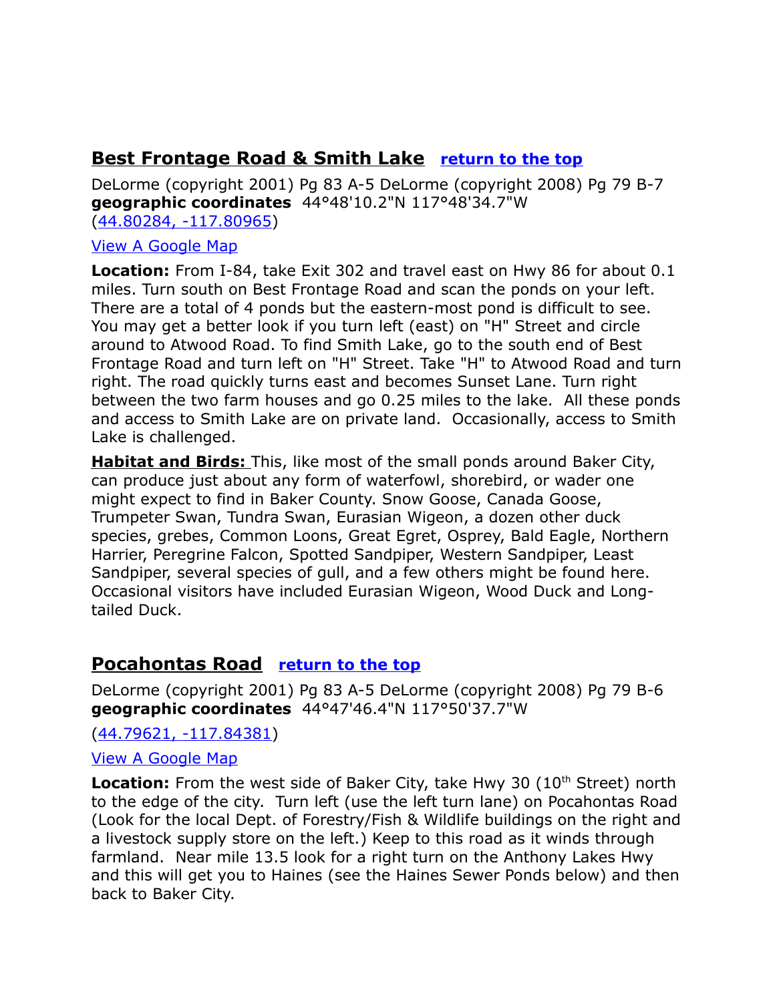# <span id="page-5-0"></span>**Best Frontage Road & Smith Lake [return to the top](#page-0-0)**

DeLorme (copyright 2001) Pg 83 A-5 DeLorme (copyright 2008) Pg 79 B-7 **geographic coordinates** 44°48'10.2"N 117°48'34.7"W [\(44.80284, -117.80965\)](https://www.google.com/maps/place/44%C2%B048)

#### [View A Google Map](http://maps.google.com/maps/ms?hl=en&ie=UTF8&msa=0&msid=108036481085398338899.00047628f17a2673b0cb6&ll=44.792556,-117.786484&spn=0.38788,1.056747&z=11)

**Location:** From I-84, take Exit 302 and travel east on Hwy 86 for about 0.1 miles. Turn south on Best Frontage Road and scan the ponds on your left. There are a total of 4 ponds but the eastern-most pond is difficult to see. You may get a better look if you turn left (east) on "H" Street and circle around to Atwood Road. To find Smith Lake, go to the south end of Best Frontage Road and turn left on "H" Street. Take "H" to Atwood Road and turn right. The road quickly turns east and becomes Sunset Lane. Turn right between the two farm houses and go 0.25 miles to the lake. All these ponds and access to Smith Lake are on private land. Occasionally, access to Smith Lake is challenged.

 **Habitat and Birds:** This, like most of the small ponds around Baker City, can produce just about any form of waterfowl, shorebird, or wader one might expect to find in Baker County. Snow Goose, Canada Goose, Trumpeter Swan, Tundra Swan, Eurasian Wigeon, a dozen other duck species, grebes, Common Loons, Great Egret, Osprey, Bald Eagle, Northern Harrier, Peregrine Falcon, Spotted Sandpiper, Western Sandpiper, Least Sandpiper, several species of gull, and a few others might be found here. Occasional visitors have included Eurasian Wigeon, Wood Duck and Longtailed Duck.

# <span id="page-5-1"></span>**Pocahontas Road [return to the top](#page-0-0)**

DeLorme (copyright 2001) Pg 83 A-5 DeLorme (copyright 2008) Pg 79 B-6 **geographic coordinates** 44°47'46.4"N 117°50'37.7"W

[\(44.79621, -117.84381\)](https://www.google.com/maps/place/44%C2%B047)

#### [View A Google Map](http://maps.google.com/maps/ms?hl=en&ie=UTF8&msa=0&msid=108036481085398338899.00047628f17a2673b0cb6&ll=44.792556,-117.786484&spn=0.38788,1.056747&z=11)

**Location:** From the west side of Baker City, take Hwy 30 (10<sup>th</sup> Street) north to the edge of the city. Turn left (use the left turn lane) on Pocahontas Road (Look for the local Dept. of Forestry/Fish & Wildlife buildings on the right and a livestock supply store on the left.) Keep to this road as it winds through farmland. Near mile 13.5 look for a right turn on the Anthony Lakes Hwy and this will get you to Haines (see the Haines Sewer Ponds below) and then back to Baker City.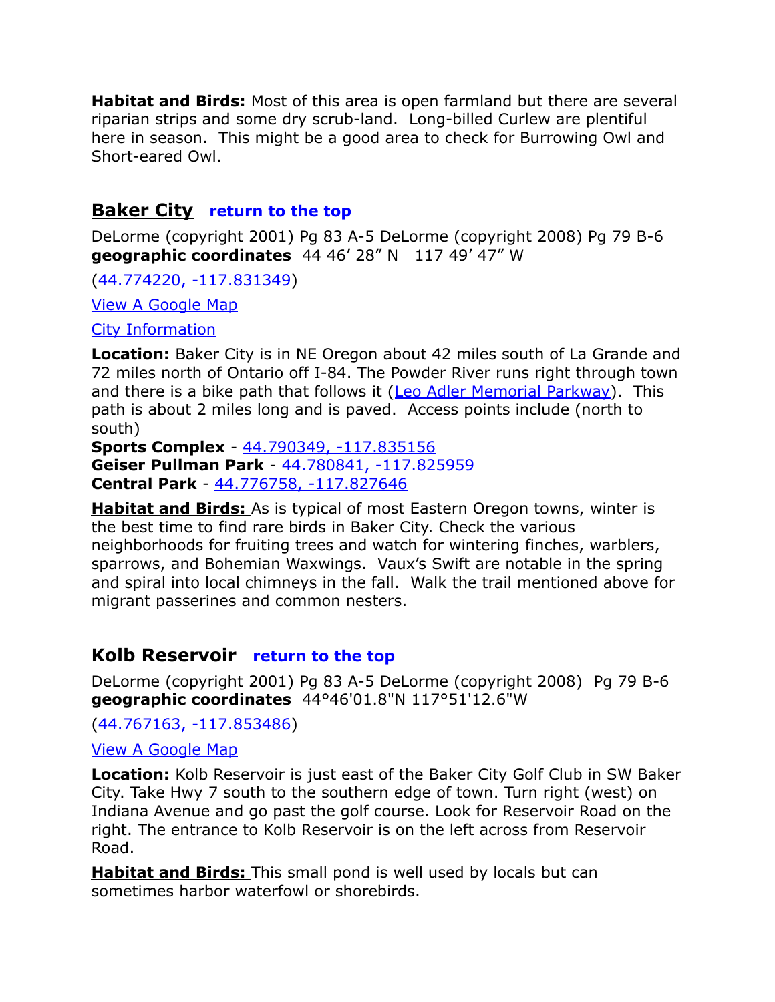**Habitat and Birds:** Most of this area is open farmland but there are several riparian strips and some dry scrub-land. Long-billed Curlew are plentiful here in season. This might be a good area to check for Burrowing Owl and Short-eared Owl.

#### <span id="page-6-0"></span>**Baker City [return to the top](#page-0-0)**

DeLorme (copyright 2001) Pg 83 A-5 DeLorme (copyright 2008) Pg 79 B-6 **geographic coordinates** 44 46' 28" N 117 49' 47" W

[\(44.774220, -117.831349\)](https://www.google.com/maps/place/44%C2%B046)

[View A Google Map](http://maps.google.com/maps/ms?hl=en&ie=UTF8&msa=0&msid=108036481085398338899.00047628f17a2673b0cb6&ll=44.792556,-117.786484&spn=0.38788,1.056747&z=11)

[City Information](http://www.citytowninfo.com/places/oregon/baker-city)

**Location:** Baker City is in NE Oregon about 42 miles south of La Grande and 72 miles north of Ontario off I-84. The Powder River runs right through town and there is a bike path that follows it [\(Leo Adler Memorial Parkway\)](http://www.bakercity.com/2221/Leo-Adler-Memorial-Parkway-LAMP). This path is about 2 miles long and is paved. Access points include (north to south)

**Sports Complex** - [44.790349, -117.835156](https://www.google.com/maps/place/44%C2%B047)  **Geiser Pullman Park** - [44.780841, -117.825959](https://www.google.com/maps/place/44%C2%B046)  **Central Park** - [44.776758, -117.827646](https://www.google.com/maps/place/44%C2%B046) 

 **Habitat and Birds:** As is typical of most Eastern Oregon towns, winter is the best time to find rare birds in Baker City. Check the various neighborhoods for fruiting trees and watch for wintering finches, warblers, sparrows, and Bohemian Waxwings. Vaux's Swift are notable in the spring and spiral into local chimneys in the fall. Walk the trail mentioned above for migrant passerines and common nesters.

#### <span id="page-6-1"></span>**Kolb Reservoir [return to the top](#page-0-0)**

DeLorme (copyright 2001) Pg 83 A-5 DeLorme (copyright 2008) Pg 79 B-6 **geographic coordinates** 44°46'01.8"N 117°51'12.6"W

[\(44.767163, -117.853486\)](https://www.google.com/maps/place/44%C2%B046)

[View A Google Map](http://maps.google.com/maps/ms?hl=en&ie=UTF8&msa=0&msid=108036481085398338899.00047628f17a2673b0cb6&ll=44.792556,-117.786484&spn=0.38788,1.056747&z=11)

**Location:** Kolb Reservoir is just east of the Baker City Golf Club in SW Baker City. Take Hwy 7 south to the southern edge of town. Turn right (west) on Indiana Avenue and go past the golf course. Look for Reservoir Road on the right. The entrance to Kolb Reservoir is on the left across from Reservoir Road.

**Habitat and Birds:** This small pond is well used by locals but can sometimes harbor waterfowl or shorebirds.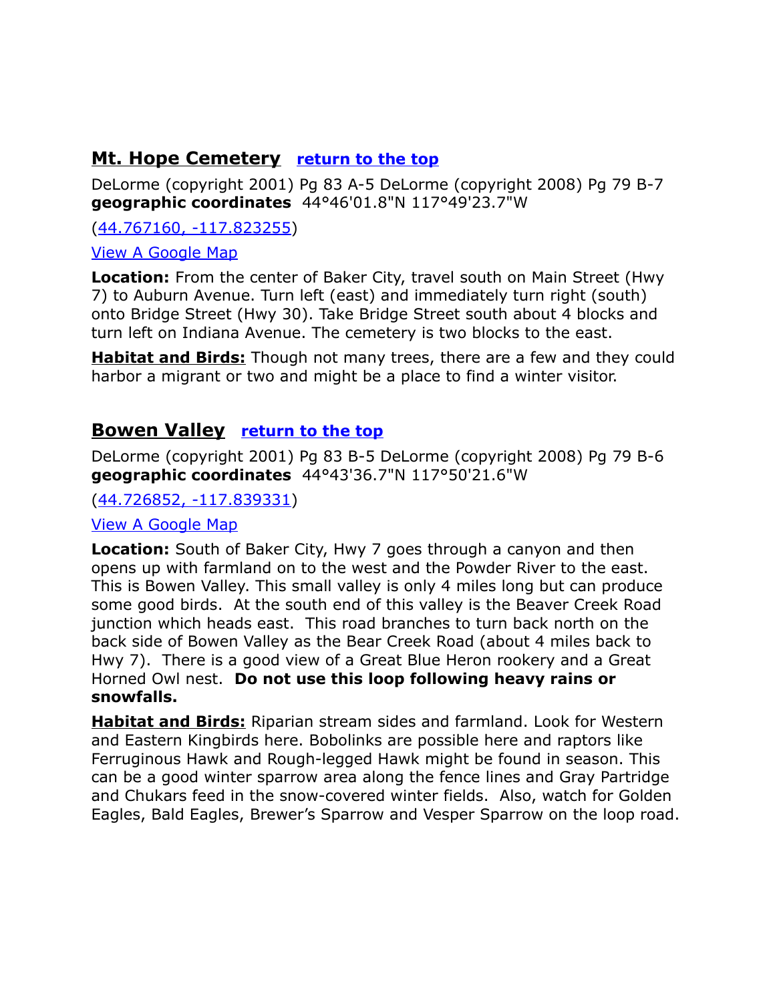# <span id="page-7-1"></span>**Mt. Hope Cemetery [return to the top](#page-0-0)**

DeLorme (copyright 2001) Pg 83 A-5 DeLorme (copyright 2008) Pg 79 B-7 **geographic coordinates** 44°46'01.8"N 117°49'23.7"W

[\(44.767160, -117.823255\)](https://www.google.com/maps/place/44%C2%B046)

[View A Google Map](http://maps.google.com/maps/ms?hl=en&ie=UTF8&msa=0&msid=108036481085398338899.00047628f17a2673b0cb6&ll=44.792556,-117.786484&spn=0.38788,1.056747&z=11)

**Location:** From the center of Baker City, travel south on Main Street (Hwy 7) to Auburn Avenue. Turn left (east) and immediately turn right (south) onto Bridge Street (Hwy 30). Take Bridge Street south about 4 blocks and turn left on Indiana Avenue. The cemetery is two blocks to the east.

**Habitat and Birds:** Though not many trees, there are a few and they could harbor a migrant or two and might be a place to find a winter visitor.

#### <span id="page-7-0"></span>**Bowen Valley [return to the top](#page-0-0)**

DeLorme (copyright 2001) Pg 83 B-5 DeLorme (copyright 2008) Pg 79 B-6 **geographic coordinates** 44°43'36.7"N 117°50'21.6"W

[\(44.726852, -117.839331\)](https://www.google.com/maps/place/44%C2%B043)

#### [View A Google Map](http://maps.google.com/maps/ms?hl=en&ie=UTF8&msa=0&msid=108036481085398338899.00047628f17a2673b0cb6&ll=44.792556,-117.786484&spn=0.38788,1.056747&z=11)

**Location:** South of Baker City, Hwy 7 goes through a canyon and then opens up with farmland on to the west and the Powder River to the east. This is Bowen Valley. This small valley is only 4 miles long but can produce some good birds. At the south end of this valley is the Beaver Creek Road junction which heads east. This road branches to turn back north on the back side of Bowen Valley as the Bear Creek Road (about 4 miles back to Hwy 7). There is a good view of a Great Blue Heron rookery and a Great Horned Owl nest. **Do not use this loop following heavy rains or snowfalls.**

**Habitat and Birds:** Riparian stream sides and farmland. Look for Western and Eastern Kingbirds here. Bobolinks are possible here and raptors like Ferruginous Hawk and Rough-legged Hawk might be found in season. This can be a good winter sparrow area along the fence lines and Gray Partridge and Chukars feed in the snow-covered winter fields. Also, watch for Golden Eagles, Bald Eagles, Brewer's Sparrow and Vesper Sparrow on the loop road.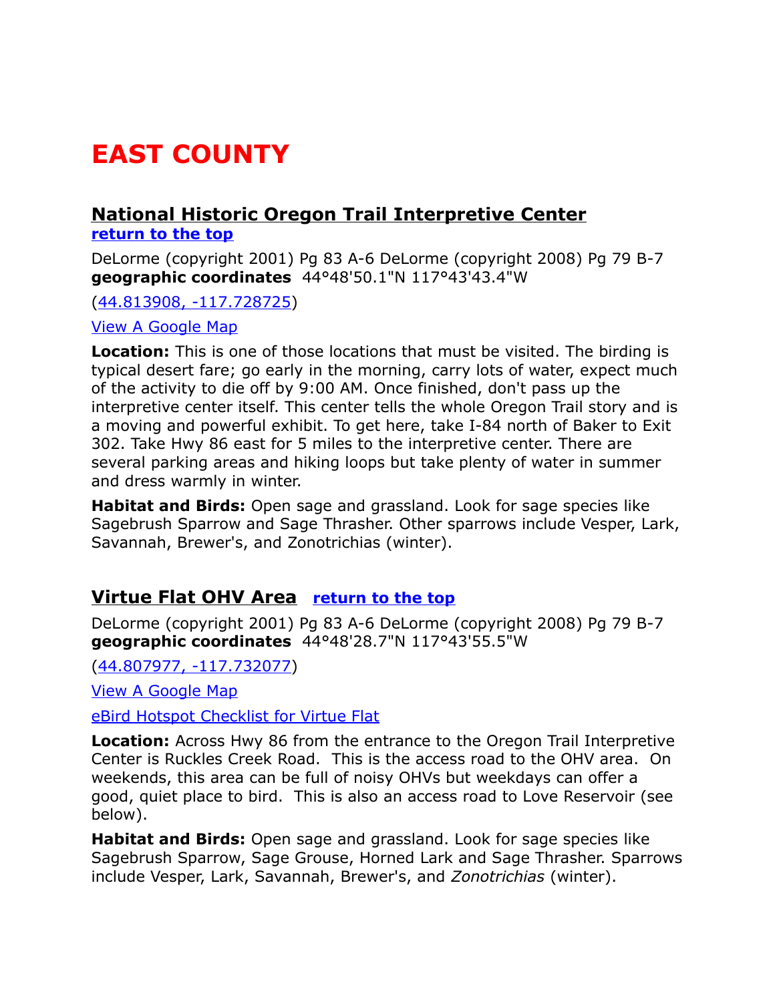# <span id="page-8-2"></span>**EAST COUNTY**

#### <span id="page-8-1"></span> **National Historic Oregon Trail Interpretive Center [return to the top](#page-0-0)**

DeLorme (copyright 2001) Pg 83 A-6 DeLorme (copyright 2008) Pg 79 B-7 **geographic coordinates** 44°48'50.1"N 117°43'43.4"W

[\(44.813908, -117.728725\)](https://www.google.com/maps/place/44%C2%B048)

[View A Google Map](http://maps.google.com/maps/ms?hl=en&ie=UTF8&msa=0&msid=108036481085398338899.00047e3156ae27caa4c4a&ll=44.81034,-117.728462&spn=0.186816,0.528374&z=12)

**Location:** This is one of those locations that must be visited. The birding is typical desert fare; go early in the morning, carry lots of water, expect much of the activity to die off by 9:00 AM. Once finished, don't pass up the interpretive center itself. This center tells the whole Oregon Trail story and is a moving and powerful exhibit. To get here, take I-84 north of Baker to Exit 302. Take Hwy 86 east for 5 miles to the interpretive center. There are several parking areas and hiking loops but take plenty of water in summer and dress warmly in winter.

**Habitat and Birds:** Open sage and grassland. Look for sage species like Sagebrush Sparrow and Sage Thrasher. Other sparrows include Vesper, Lark, Savannah, Brewer's, and Zonotrichias (winter).

# <span id="page-8-0"></span>**Virtue Flat OHV Area [return to the top](#page-0-0)**

DeLorme (copyright 2001) Pg 83 A-6 DeLorme (copyright 2008) Pg 79 B-7 **geographic coordinates** 44°48'28.7"N 117°43'55.5"W

[\(44.807977, -117.732077\)](https://www.google.com/maps/place/44%C2%B048)

[View A Google Map](http://maps.google.com/maps/ms?hl=en&ie=UTF8&msa=0&msid=108036481085398338899.00047e3156ae27caa4c4a&ll=44.81034,-117.728462&spn=0.186816,0.528374&z=12) 

[eBird Hotspot Checklist for Virtue Flat](http://ebird.org/ebird/hotspot/L447409?yr=all&m=&rank=mrec)

**Location:** Across Hwy 86 from the entrance to the Oregon Trail Interpretive Center is Ruckles Creek Road. This is the access road to the OHV area. On weekends, this area can be full of noisy OHVs but weekdays can offer a good, quiet place to bird. This is also an access road to Love Reservoir (see below).

**Habitat and Birds:** Open sage and grassland. Look for sage species like Sagebrush Sparrow, Sage Grouse, Horned Lark and Sage Thrasher. Sparrows include Vesper, Lark, Savannah, Brewer's, and *Zonotrichias* (winter).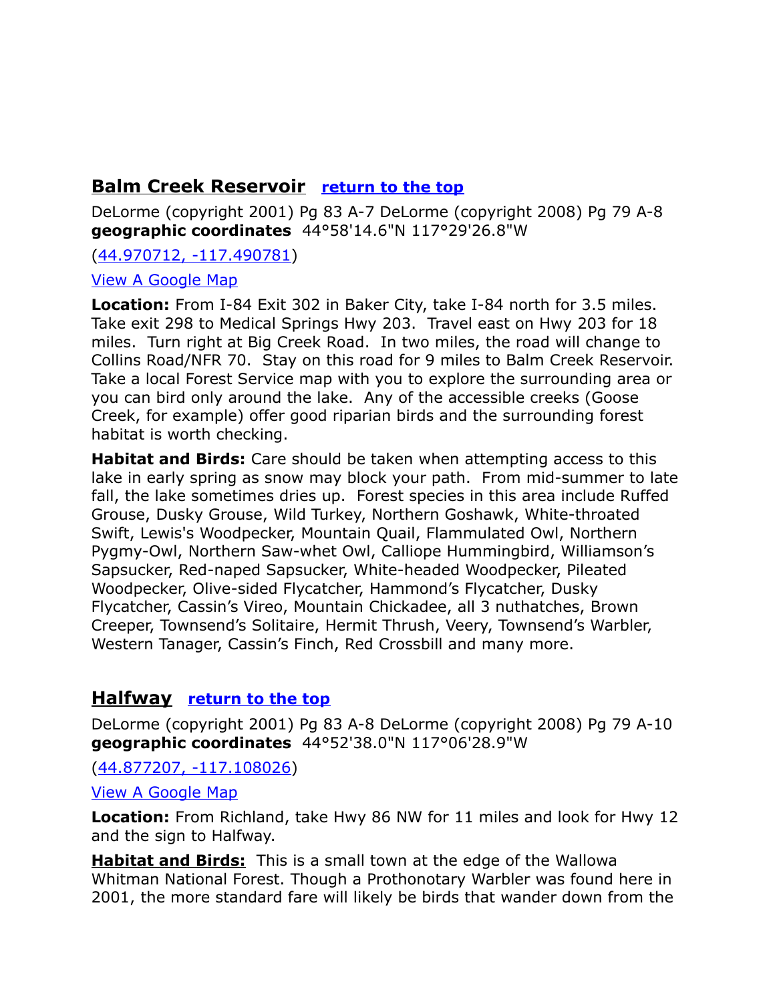# <span id="page-9-1"></span>**Balm Creek Reservoir [return to the top](#page-0-0)**

DeLorme (copyright 2001) Pg 83 A-7 DeLorme (copyright 2008) Pg 79 A-8 **geographic coordinates** 44°58'14.6"N 117°29'26.8"W

[\(44.970712, -117.490781\)](https://www.google.com/maps/place/44%C2%B058)

#### [View A Google Map](http://maps.google.com/maps/ms?hl=en&ie=UTF8&msa=0&ll=44.951193,-117.494659&spn=0.838734,2.113495&z=10&msid=200542696373675968937.00049b0066ddfd85c7927)

**Location:** From I-84 Exit 302 in Baker City, take I-84 north for 3.5 miles. Take exit 298 to Medical Springs Hwy 203. Travel east on Hwy 203 for 18 miles. Turn right at Big Creek Road. In two miles, the road will change to Collins Road/NFR 70. Stay on this road for 9 miles to Balm Creek Reservoir. Take a local Forest Service map with you to explore the surrounding area or you can bird only around the lake. Any of the accessible creeks (Goose Creek, for example) offer good riparian birds and the surrounding forest habitat is worth checking.

**Habitat and Birds:** Care should be taken when attempting access to this lake in early spring as snow may block your path. From mid-summer to late fall, the lake sometimes dries up. Forest species in this area include Ruffed Grouse, Dusky Grouse, Wild Turkey, Northern Goshawk, White-throated Swift, Lewis's Woodpecker, Mountain Quail, Flammulated Owl, Northern Pygmy-Owl, Northern Saw-whet Owl, Calliope Hummingbird, Williamson's Sapsucker, Red-naped Sapsucker, White-headed Woodpecker, Pileated Woodpecker, Olive-sided Flycatcher, Hammond's Flycatcher, Dusky Flycatcher, Cassin's Vireo, Mountain Chickadee, all 3 nuthatches, Brown Creeper, Townsend's Solitaire, Hermit Thrush, Veery, Townsend's Warbler, Western Tanager, Cassin's Finch, Red Crossbill and many more.

# <span id="page-9-0"></span>**Halfway [return to the top](#page-0-0)**

DeLorme (copyright 2001) Pg 83 A-8 DeLorme (copyright 2008) Pg 79 A-10 **geographic coordinates** 44°52'38.0"N 117°06'28.9"W

[\(44.877207, -117.108026\)](https://www.google.com/maps/place/44%C2%B052)

[View A Google Map](http://maps.google.com/maps/ms?hl=en&ie=UTF8&msa=0&msid=108036481085398338899.000476290874631b06f60&ll=44.830552,-117.182922&spn=1.493984,4.22699&z=9)

**Location:** From Richland, take Hwy 86 NW for 11 miles and look for Hwy 12 and the sign to Halfway.

**Habitat and Birds:** This is a small town at the edge of the Wallowa Whitman National Forest. Though a Prothonotary Warbler was found here in 2001, the more standard fare will likely be birds that wander down from the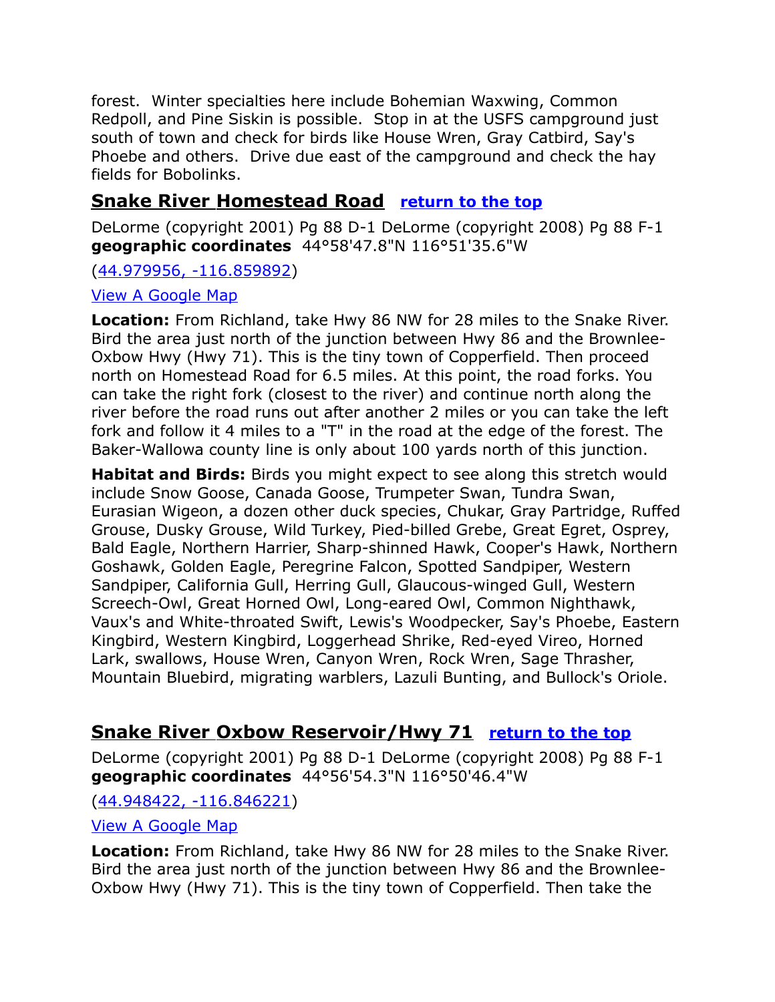forest. Winter specialties here include Bohemian Waxwing, Common Redpoll, and Pine Siskin is possible. Stop in at the USFS campground just south of town and check for birds like House Wren, Gray Catbird, Say's Phoebe and others. Drive due east of the campground and check the hay fields for Bobolinks.

# <span id="page-10-1"></span> **Snake River Homestead Road [return to the top](#page-0-0)**

DeLorme (copyright 2001) Pg 88 D-1 DeLorme (copyright 2008) Pg 88 F-1 **geographic coordinates** 44°58'47.8"N 116°51'35.6"W

[\(44.979956, -116.859892\)](https://www.google.com/maps/place/44%C2%B058)

#### [View A Google Map](http://maps.google.com/maps/ms?hl=en&ie=UTF8&msa=0&msid=108036481085398338899.000476290874631b06f60&ll=44.830552,-117.182922&spn=1.493984,4.22699&z=9)

**Location:** From Richland, take Hwy 86 NW for 28 miles to the Snake River. Bird the area just north of the junction between Hwy 86 and the Brownlee-Oxbow Hwy (Hwy 71). This is the tiny town of Copperfield. Then proceed north on Homestead Road for 6.5 miles. At this point, the road forks. You can take the right fork (closest to the river) and continue north along the river before the road runs out after another 2 miles or you can take the left fork and follow it 4 miles to a "T" in the road at the edge of the forest. The Baker-Wallowa county line is only about 100 yards north of this junction.

**Habitat and Birds:** Birds you might expect to see along this stretch would include Snow Goose, Canada Goose, Trumpeter Swan, Tundra Swan, Eurasian Wigeon, a dozen other duck species, Chukar, Gray Partridge, Ruffed Grouse, Dusky Grouse, Wild Turkey, Pied-billed Grebe, Great Egret, Osprey, Bald Eagle, Northern Harrier, Sharp-shinned Hawk, Cooper's Hawk, Northern Goshawk, Golden Eagle, Peregrine Falcon, Spotted Sandpiper, Western Sandpiper, California Gull, Herring Gull, Glaucous-winged Gull, Western Screech-Owl, Great Horned Owl, Long-eared Owl, Common Nighthawk, Vaux's and White-throated Swift, Lewis's Woodpecker, Say's Phoebe, Eastern Kingbird, Western Kingbird, Loggerhead Shrike, Red-eyed Vireo, Horned Lark, swallows, House Wren, Canyon Wren, Rock Wren, Sage Thrasher, Mountain Bluebird, migrating warblers, Lazuli Bunting, and Bullock's Oriole.

# <span id="page-10-0"></span> **Snake River Oxbow Reservoir/Hwy 71 [return to the top](#page-0-0)**

DeLorme (copyright 2001) Pg 88 D-1 DeLorme (copyright 2008) Pg 88 F-1 **geographic coordinates** 44°56'54.3"N 116°50'46.4"W

#### [\(44.948422, -116.846221\)](https://www.google.com/maps/place/44%C2%B056)

#### [View A Google Map](http://maps.google.com/maps/ms?hl=en&ie=UTF8&msa=0&msid=108036481085398338899.000476290874631b06f60&ll=44.830552,-117.182922&spn=1.493984,4.22699&z=9)

**Location:** From Richland, take Hwy 86 NW for 28 miles to the Snake River. Bird the area just north of the junction between Hwy 86 and the Brownlee-Oxbow Hwy (Hwy 71). This is the tiny town of Copperfield. Then take the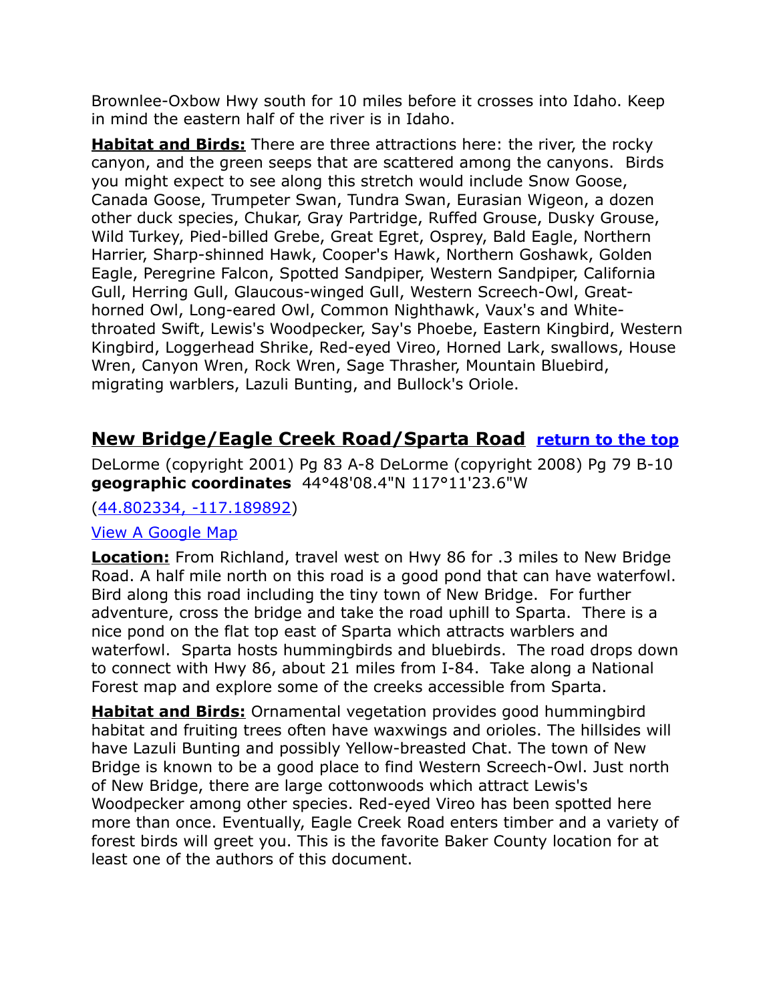Brownlee-Oxbow Hwy south for 10 miles before it crosses into Idaho. Keep in mind the eastern half of the river is in Idaho.

**Habitat and Birds:** There are three attractions here: the river, the rocky canyon, and the green seeps that are scattered among the canyons. Birds you might expect to see along this stretch would include Snow Goose, Canada Goose, Trumpeter Swan, Tundra Swan, Eurasian Wigeon, a dozen other duck species, Chukar, Gray Partridge, Ruffed Grouse, Dusky Grouse, Wild Turkey, Pied-billed Grebe, Great Egret, Osprey, Bald Eagle, Northern Harrier, Sharp-shinned Hawk, Cooper's Hawk, Northern Goshawk, Golden Eagle, Peregrine Falcon, Spotted Sandpiper, Western Sandpiper, California Gull, Herring Gull, Glaucous-winged Gull, Western Screech-Owl, Greathorned Owl, Long-eared Owl, Common Nighthawk, Vaux's and Whitethroated Swift, Lewis's Woodpecker, Say's Phoebe, Eastern Kingbird, Western Kingbird, Loggerhead Shrike, Red-eyed Vireo, Horned Lark, swallows, House Wren, Canyon Wren, Rock Wren, Sage Thrasher, Mountain Bluebird, migrating warblers, Lazuli Bunting, and Bullock's Oriole.

# <span id="page-11-0"></span>**New Bridge/Eagle Creek Road/Sparta Road [return to the top](#page-0-0)**

DeLorme (copyright 2001) Pg 83 A-8 DeLorme (copyright 2008) Pg 79 B-10 **geographic coordinates** 44°48'08.4"N 117°11'23.6"W

[\(44.802334, -117.189892\)](https://www.google.com/maps/place/44%C2%B048)

#### [View A Google Map](http://maps.google.com/maps/ms?hl=en&ie=UTF8&msa=0&msid=108036481085398338899.000476290874631b06f60&ll=44.830552,-117.182922&spn=1.493984,4.22699&z=9)

**Location:** From Richland, travel west on Hwy 86 for .3 miles to New Bridge Road. A half mile north on this road is a good pond that can have waterfowl. Bird along this road including the tiny town of New Bridge. For further adventure, cross the bridge and take the road uphill to Sparta. There is a nice pond on the flat top east of Sparta which attracts warblers and waterfowl. Sparta hosts hummingbirds and bluebirds. The road drops down to connect with Hwy 86, about 21 miles from I-84. Take along a National Forest map and explore some of the creeks accessible from Sparta.

**Habitat and Birds:** Ornamental vegetation provides good hummingbird habitat and fruiting trees often have waxwings and orioles. The hillsides will have Lazuli Bunting and possibly Yellow-breasted Chat. The town of New Bridge is known to be a good place to find Western Screech-Owl. Just north of New Bridge, there are large cottonwoods which attract Lewis's Woodpecker among other species. Red-eyed Vireo has been spotted here more than once. Eventually, Eagle Creek Road enters timber and a variety of forest birds will greet you. This is the favorite Baker County location for at least one of the authors of this document.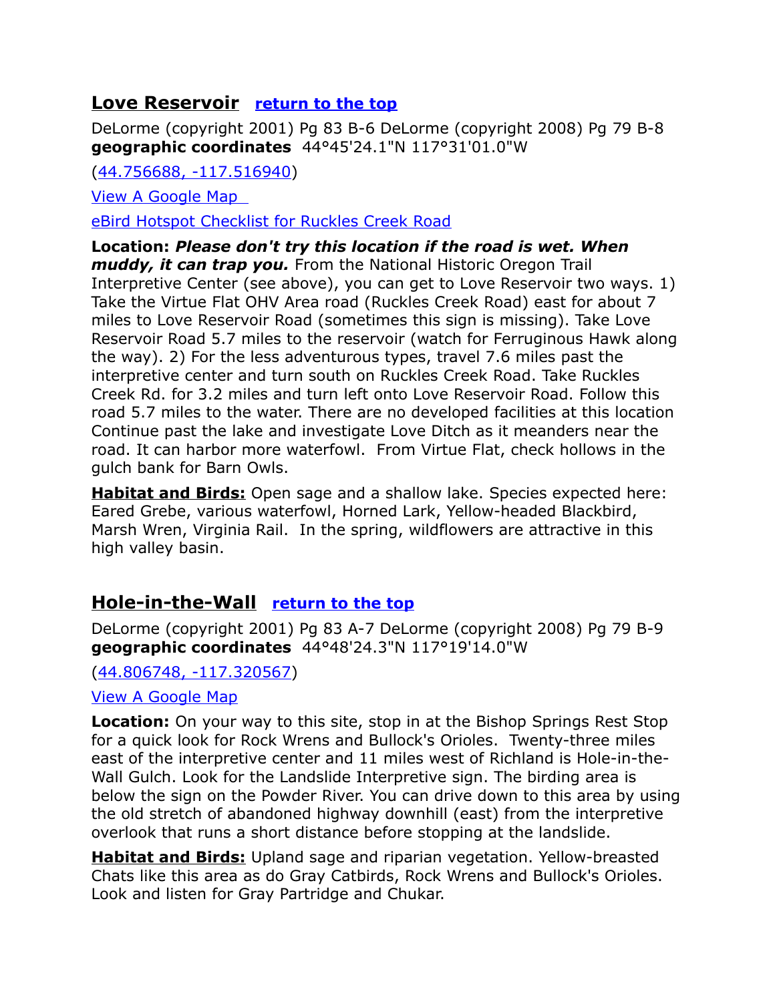# <span id="page-12-1"></span>**Love Reservoir <u>[return to the top](#page-0-0)</u>**

DeLorme (copyright 2001) Pg 83 B-6 DeLorme (copyright 2008) Pg 79 B-8 **geographic coordinates** 44°45'24.1"N 117°31'01.0"W

[\(44.756688, -117.516940\)](https://www.google.com/maps/place/44%C2%B045)

[View A Google Map](http://maps.google.com/maps/ms?hl=en&ie=UTF8&msa=0&msid=108036481085398338899.000476290874631b06f60&ll=44.830552,-117.182922&spn=1.493984,4.22699&z=9) 

[eBird Hotspot Checklist for Ruckles Creek Road](http://ebird.org/ebird/hotspot/L2337615?yr=all&m=&rank=mrec)

**Location:** *Please don't try this location if the road is wet. When muddy, it can trap you.* From the National Historic Oregon Trail Interpretive Center (see above), you can get to Love Reservoir two ways. 1) Take the Virtue Flat OHV Area road (Ruckles Creek Road) east for about 7 miles to Love Reservoir Road (sometimes this sign is missing). Take Love Reservoir Road 5.7 miles to the reservoir (watch for Ferruginous Hawk along the way). 2) For the less adventurous types, travel 7.6 miles past the interpretive center and turn south on Ruckles Creek Road. Take Ruckles Creek Rd. for 3.2 miles and turn left onto Love Reservoir Road. Follow this road 5.7 miles to the water. There are no developed facilities at this location Continue past the lake and investigate Love Ditch as it meanders near the road. It can harbor more waterfowl. From Virtue Flat, check hollows in the gulch bank for Barn Owls.

**Habitat and Birds:** Open sage and a shallow lake. Species expected here: Eared Grebe, various waterfowl, Horned Lark, Yellow-headed Blackbird, Marsh Wren, Virginia Rail. In the spring, wildflowers are attractive in this high valley basin.

# <span id="page-12-0"></span>**Hole-in-the-Wall [return to the top](#page-0-0)**

DeLorme (copyright 2001) Pg 83 A-7 DeLorme (copyright 2008) Pg 79 B-9 **geographic coordinates** 44°48'24.3"N 117°19'14.0"W

[\(44.806748, -117.320567\)](https://www.google.com/maps/place/44%C2%B048)

#### [View A Google Map](http://maps.google.com/maps/ms?hl=en&ie=UTF8&msa=0&msid=108036481085398338899.000476290874631b06f60&ll=44.830552,-117.182922&spn=1.493984,4.22699&z=9)

**Location:** On your way to this site, stop in at the Bishop Springs Rest Stop for a quick look for Rock Wrens and Bullock's Orioles. Twenty-three miles east of the interpretive center and 11 miles west of Richland is Hole-in-the-Wall Gulch. Look for the Landslide Interpretive sign. The birding area is below the sign on the Powder River. You can drive down to this area by using the old stretch of abandoned highway downhill (east) from the interpretive overlook that runs a short distance before stopping at the landslide.

**Habitat and Birds:** Upland sage and riparian vegetation. Yellow-breasted Chats like this area as do Gray Catbirds, Rock Wrens and Bullock's Orioles. Look and listen for Gray Partridge and Chukar.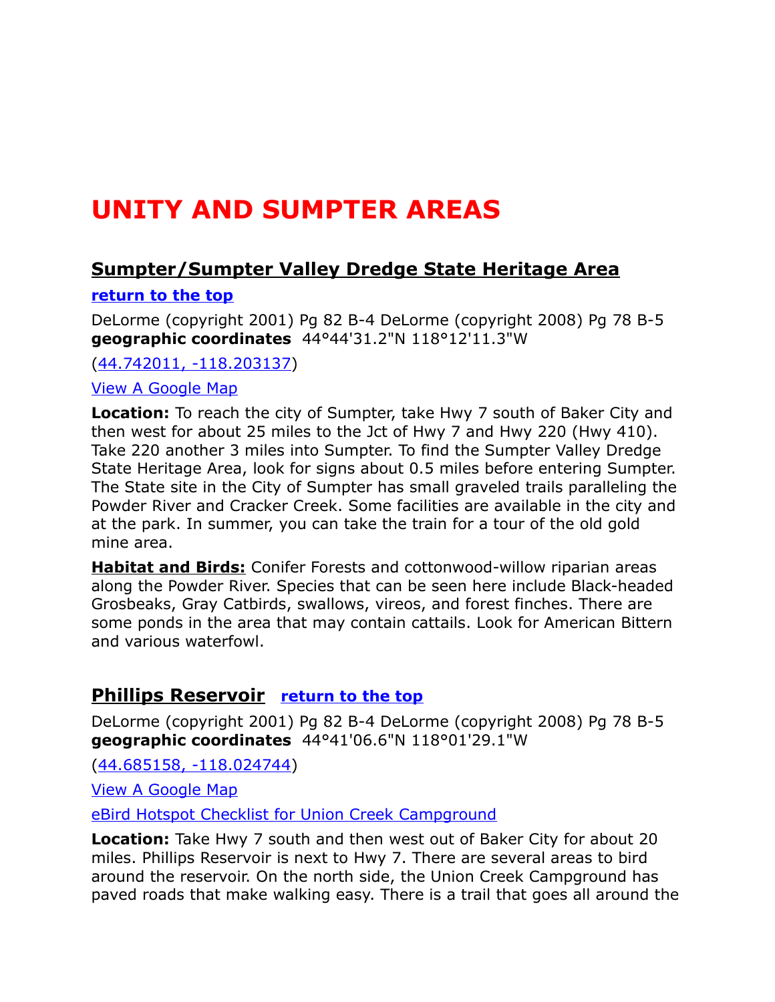# <span id="page-13-2"></span>**UNITY AND SUMPTER AREAS**

# <span id="page-13-1"></span>**Sumpter/Sumpter Valley Dredge State Heritage Area**

#### **[return to the top](#page-0-0)**

DeLorme (copyright 2001) Pg 82 B-4 DeLorme (copyright 2008) Pg 78 B-5 **geographic coordinates** 44°44'31.2"N 118°12'11.3"W

[\(44.742011, -118.203137\)](https://www.google.com/maps/place/44%C2%B044)

[View A Google Map](http://maps.google.com/maps/ms?hl=en&ie=UTF8&msa=0&msid=108036481085398338899.00047628def21607f87a7&ll=44.640811,-117.815323&spn=0.387921,1.056747&z=10)

**Location:** To reach the city of Sumpter, take Hwy 7 south of Baker City and then west for about 25 miles to the Jct of Hwy 7 and Hwy 220 (Hwy 410). Take 220 another 3 miles into Sumpter. To find the Sumpter Valley Dredge State Heritage Area, look for signs about 0.5 miles before entering Sumpter. The State site in the City of Sumpter has small graveled trails paralleling the Powder River and Cracker Creek. Some facilities are available in the city and at the park. In summer, you can take the train for a tour of the old gold mine area.

**Habitat and Birds:** Conifer Forests and cottonwood-willow riparian areas along the Powder River. Species that can be seen here include Black-headed Grosbeaks, Gray Catbirds, swallows, vireos, and forest finches. There are some ponds in the area that may contain cattails. Look for American Bittern and various waterfowl.

# <span id="page-13-0"></span>**Phillips Reservoir [return to the top](#page-0-0)**

DeLorme (copyright 2001) Pg 82 B-4 DeLorme (copyright 2008) Pg 78 B-5 **geographic coordinates** 44°41'06.6"N 118°01'29.1"W

[\(44.685158, -118.024744\)](https://www.google.com/maps/place/44%C2%B041)

[View A Google Map](http://maps.google.com/maps/ms?hl=en&ie=UTF8&msa=0&msid=108036481085398338899.00047628def21607f87a7&ll=44.640811,-117.815323&spn=0.387921,1.056747&z=10)

[eBird Hotspot Checklist for Union Creek Campground](http://ebird.org/ebird/hotspot/L3658056?yr=all&m=&rank=mrec)

**Location:** Take Hwy 7 south and then west out of Baker City for about 20 miles. Phillips Reservoir is next to Hwy 7. There are several areas to bird around the reservoir. On the north side, the Union Creek Campground has paved roads that make walking easy. There is a trail that goes all around the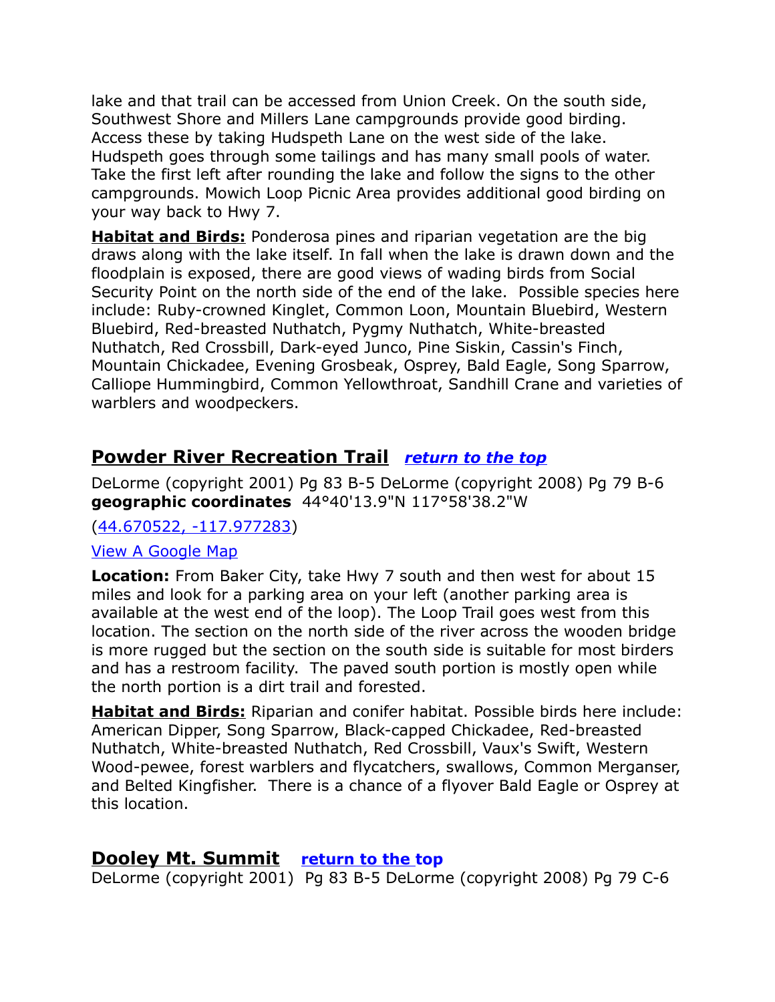lake and that trail can be accessed from Union Creek. On the south side, Southwest Shore and Millers Lane campgrounds provide good birding. Access these by taking Hudspeth Lane on the west side of the lake. Hudspeth goes through some tailings and has many small pools of water. Take the first left after rounding the lake and follow the signs to the other campgrounds. Mowich Loop Picnic Area provides additional good birding on your way back to Hwy 7.

**Habitat and Birds:** Ponderosa pines and riparian vegetation are the big draws along with the lake itself. In fall when the lake is drawn down and the floodplain is exposed, there are good views of wading birds from Social Security Point on the north side of the end of the lake. Possible species here include: Ruby-crowned Kinglet, Common Loon, Mountain Bluebird, Western Bluebird, Red-breasted Nuthatch, Pygmy Nuthatch, White-breasted Nuthatch, Red Crossbill, Dark-eyed Junco, Pine Siskin, Cassin's Finch, Mountain Chickadee, Evening Grosbeak, Osprey, Bald Eagle, Song Sparrow, Calliope Hummingbird, Common Yellowthroat, Sandhill Crane and varieties of warblers and woodpeckers.

# <span id="page-14-1"></span>**Powder River Recreation Trail** *[return to the top](#page-0-0)*

DeLorme (copyright 2001) Pg 83 B-5 DeLorme (copyright 2008) Pg 79 B-6 **geographic coordinates** 44°40'13.9"N 117°58'38.2"W

[\(44.670522, -117.977283\)](https://www.google.com/maps/place/44%C2%B040)

#### [View A Google Map](http://maps.google.com/maps/ms?hl=en&ie=UTF8&msa=0&msid=108036481085398338899.00047628def21607f87a7&ll=44.640811,-117.815323&spn=0.387921,1.056747&z=10)

**Location:** From Baker City, take Hwy 7 south and then west for about 15 miles and look for a parking area on your left (another parking area is available at the west end of the loop). The Loop Trail goes west from this location. The section on the north side of the river across the wooden bridge is more rugged but the section on the south side is suitable for most birders and has a restroom facility. The paved south portion is mostly open while the north portion is a dirt trail and forested.

**Habitat and Birds:** Riparian and conifer habitat. Possible birds here include: American Dipper, Song Sparrow, Black-capped Chickadee, Red-breasted Nuthatch, White-breasted Nuthatch, Red Crossbill, Vaux's Swift, Western Wood-pewee, forest warblers and flycatchers, swallows, Common Merganser, and Belted Kingfisher. There is a chance of a flyover Bald Eagle or Osprey at this location.

#### <span id="page-14-0"></span>**Dooley Mt. Summit [return to the top](#page-0-0)**

DeLorme (copyright 2001) Pg 83 B-5 DeLorme (copyright 2008) Pg 79 C-6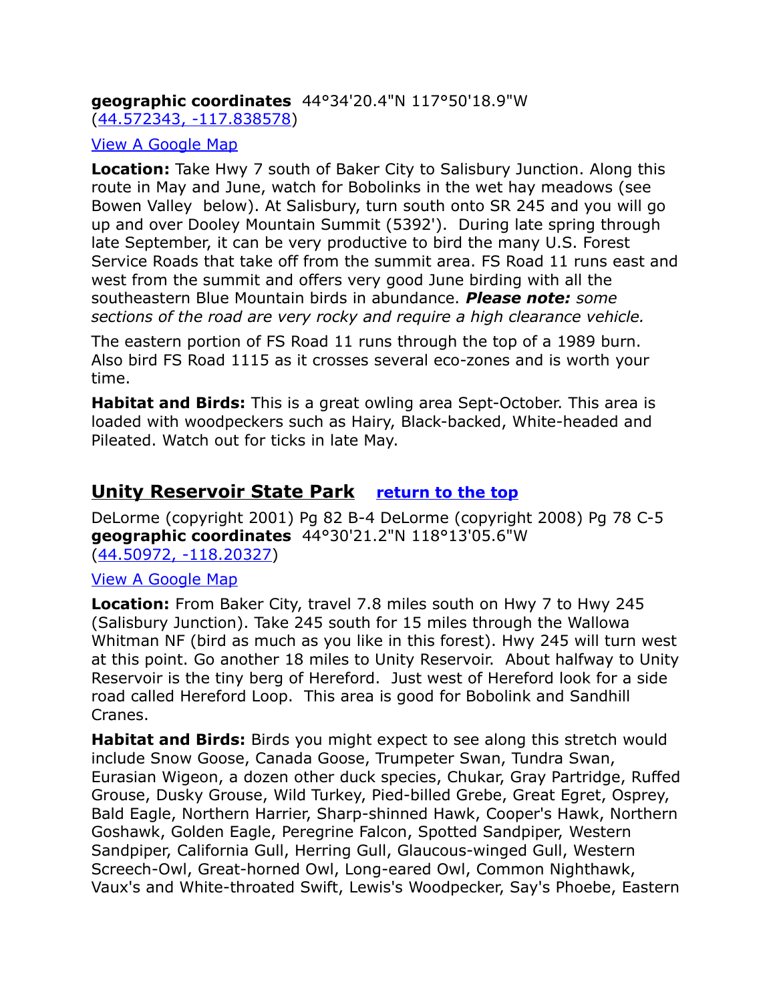# **geographic coordinates** 44°34'20.4"N 117°50'18.9"W

[\(44.572343, -117.838578\)](https://www.google.com/maps/place/44%C2%B034)

#### [View A Google Map](http://maps.google.com/maps/ms?hl=en&ie=UTF8&msa=0&msid=108036481085398338899.0004762a4c184c46ca856&ll=44.532738,-118.227997&spn=0.321584,0.699692&z=11)

**Location:** Take Hwy 7 south of Baker City to Salisbury Junction. Along this route in May and June, watch for Bobolinks in the wet hay meadows (see Bowen Valley below). At Salisbury, turn south onto SR 245 and you will go up and over Dooley Mountain Summit (5392'). During late spring through late September, it can be very productive to bird the many U.S. Forest Service Roads that take off from the summit area. FS Road 11 runs east and west from the summit and offers very good June birding with all the southeastern Blue Mountain birds in abundance. *Please note: some sections of the road are very rocky and require a high clearance vehicle.*

The eastern portion of FS Road 11 runs through the top of a 1989 burn. Also bird FS Road 1115 as it crosses several eco-zones and is worth your time.

**Habitat and Birds:** This is a great owling area Sept-October. This area is loaded with woodpeckers such as Hairy, Black-backed, White-headed and Pileated. Watch out for ticks in late May.

# <span id="page-15-0"></span>**Unity Reservoir State Park [return to the top](#page-0-0)**

DeLorme (copyright 2001) Pg 82 B-4 DeLorme (copyright 2008) Pg 78 C-5 **geographic coordinates** 44°30'21.2"N 118°13'05.6"W [\(44.50972, -118.20327\)](https://www.google.com/maps/place/44%C2%B030)

#### [View A Google Map](http://maps.google.com/maps/ms?hl=en&ie=UTF8&msa=0&msid=108036481085398338899.0004762a4c184c46ca856&ll=44.532738,-118.227997&spn=0.321584,0.699692&z=11)

**Location:** From Baker City, travel 7.8 miles south on Hwy 7 to Hwy 245 (Salisbury Junction). Take 245 south for 15 miles through the Wallowa Whitman NF (bird as much as you like in this forest). Hwy 245 will turn west at this point. Go another 18 miles to Unity Reservoir. About halfway to Unity Reservoir is the tiny berg of Hereford. Just west of Hereford look for a side road called Hereford Loop. This area is good for Bobolink and Sandhill Cranes.

**Habitat and Birds:** Birds you might expect to see along this stretch would include Snow Goose, Canada Goose, Trumpeter Swan, Tundra Swan, Eurasian Wigeon, a dozen other duck species, Chukar, Gray Partridge, Ruffed Grouse, Dusky Grouse, Wild Turkey, Pied-billed Grebe, Great Egret, Osprey, Bald Eagle, Northern Harrier, Sharp-shinned Hawk, Cooper's Hawk, Northern Goshawk, Golden Eagle, Peregrine Falcon, Spotted Sandpiper, Western Sandpiper, California Gull, Herring Gull, Glaucous-winged Gull, Western Screech-Owl, Great-horned Owl, Long-eared Owl, Common Nighthawk, Vaux's and White-throated Swift, Lewis's Woodpecker, Say's Phoebe, Eastern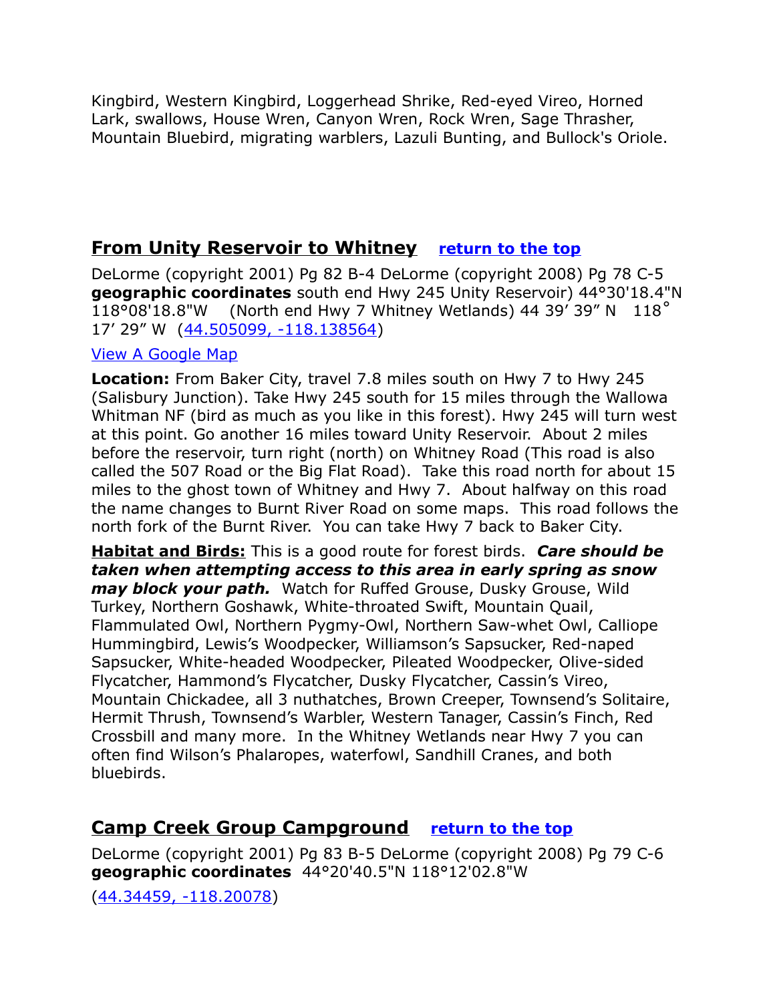Kingbird, Western Kingbird, Loggerhead Shrike, Red-eyed Vireo, Horned Lark, swallows, House Wren, Canyon Wren, Rock Wren, Sage Thrasher, Mountain Bluebird, migrating warblers, Lazuli Bunting, and Bullock's Oriole.

# <span id="page-16-1"></span>**From Unity Reservoir to Whitney** [return to the top](#page-0-0)

DeLorme (copyright 2001) Pg 82 B-4 DeLorme (copyright 2008) Pg 78 C-5 **geographic coordinates** south end Hwy 245 Unity Reservoir) 44°30'18.4"N 118°08'18.8"W (North end Hwy 7 Whitney Wetlands) 44 39' 39" N 118˚ 17' 29" W [\(44.505099, -118.138564\)](https://www.google.com/maps/place/44%C2%B030)

#### [View A Google Map](http://maps.google.com/maps/ms?hl=en&ie=UTF8&msa=0&msid=108036481085398338899.0004762a4c184c46ca856&ll=44.532738,-118.227997&spn=0.321584,0.699692&z=11)

**Location:** From Baker City, travel 7.8 miles south on Hwy 7 to Hwy 245 (Salisbury Junction). Take Hwy 245 south for 15 miles through the Wallowa Whitman NF (bird as much as you like in this forest). Hwy 245 will turn west at this point. Go another 16 miles toward Unity Reservoir. About 2 miles before the reservoir, turn right (north) on Whitney Road (This road is also called the 507 Road or the Big Flat Road). Take this road north for about 15 miles to the ghost town of Whitney and Hwy 7. About halfway on this road the name changes to Burnt River Road on some maps. This road follows the north fork of the Burnt River. You can take Hwy 7 back to Baker City.

**Habitat and Birds:** This is a good route for forest birds. *Care should be taken when attempting access to this area in early spring as snow may block your path.* Watch for Ruffed Grouse, Dusky Grouse, Wild Turkey, Northern Goshawk, White-throated Swift, Mountain Quail, Flammulated Owl, Northern Pygmy-Owl, Northern Saw-whet Owl, Calliope Hummingbird, Lewis's Woodpecker, Williamson's Sapsucker, Red-naped Sapsucker, White-headed Woodpecker, Pileated Woodpecker, Olive-sided Flycatcher, Hammond's Flycatcher, Dusky Flycatcher, Cassin's Vireo, Mountain Chickadee, all 3 nuthatches, Brown Creeper, Townsend's Solitaire, Hermit Thrush, Townsend's Warbler, Western Tanager, Cassin's Finch, Red Crossbill and many more. In the Whitney Wetlands near Hwy 7 you can often find Wilson's Phalaropes, waterfowl, Sandhill Cranes, and both bluebirds.

# <span id="page-16-0"></span>**Camp Creek Group Campground [return to the top](#page-0-0)**

DeLorme (copyright 2001) Pg 83 B-5 DeLorme (copyright 2008) Pg 79 C-6 **geographic coordinates** 44°20'40.5"N 118°12'02.8"W

[\(44.34459, -118.20078\)](https://www.google.com/maps/place/44%C2%B020)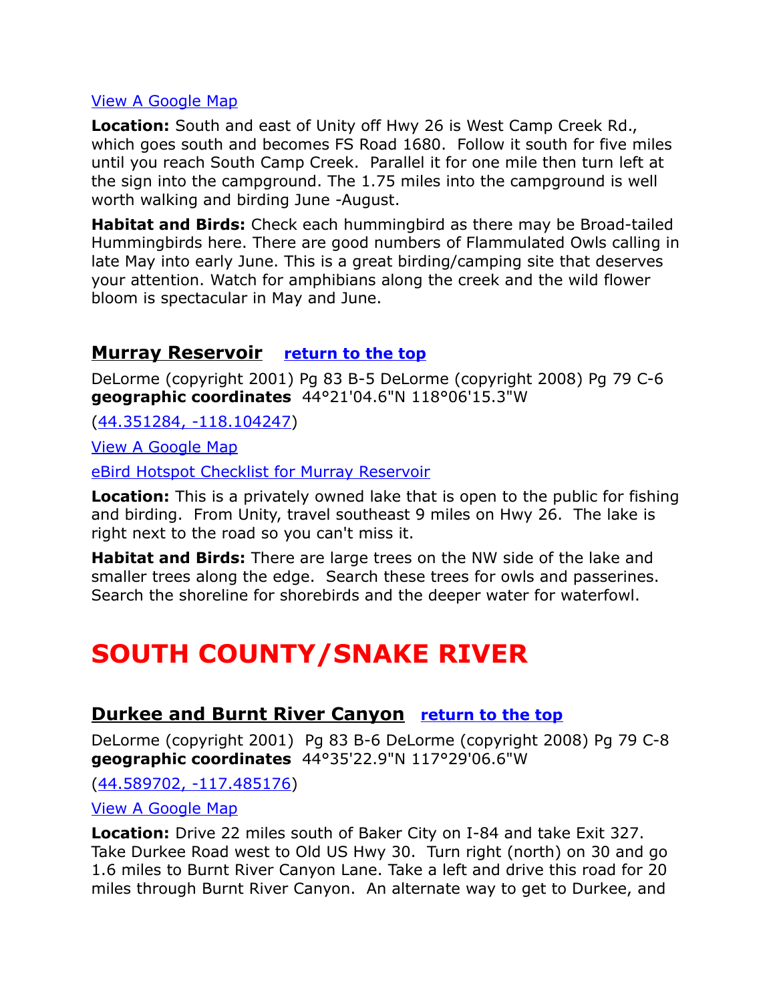#### [View A Google Map](http://maps.google.com/maps/ms?hl=en&ie=UTF8&msa=0&msid=108036481085398338899.0004762a4c184c46ca856&ll=44.532738,-118.227997&spn=0.321584,0.699692&z=11)

**Location:** South and east of Unity off Hwy 26 is West Camp Creek Rd., which goes south and becomes FS Road 1680. Follow it south for five miles until you reach South Camp Creek. Parallel it for one mile then turn left at the sign into the campground. The 1.75 miles into the campground is well worth walking and birding June -August.

**Habitat and Birds:** Check each hummingbird as there may be Broad-tailed Hummingbirds here. There are good numbers of Flammulated Owls calling in late May into early June. This is a great birding/camping site that deserves your attention. Watch for amphibians along the creek and the wild flower bloom is spectacular in May and June.

#### <span id="page-17-0"></span>**Murray Reservoir [return to the top](#page-0-0)**

DeLorme (copyright 2001) Pg 83 B-5 DeLorme (copyright 2008) Pg 79 C-6 **geographic coordinates** 44°21'04.6"N 118°06'15.3"W

[\(44.351284, -118.104247\)](https://www.google.com/maps/place/44%C2%B021)

[View A Google Map](http://maps.google.com/maps/ms?hl=en&ie=UTF8&msa=0&msid=108036481085398338899.0004762a4c184c46ca856&ll=44.532738,-118.227997&spn=0.321584,0.699692&z=11)

[eBird Hotspot Checklist for Murray Reservoir](http://ebird.org/ebird/hotspot/L752848?yr=all&m=&rank=mrec)

**Location:** This is a privately owned lake that is open to the public for fishing and birding. From Unity, travel southeast 9 miles on Hwy 26. The lake is right next to the road so you can't miss it.

**Habitat and Birds:** There are large trees on the NW side of the lake and smaller trees along the edge. Search these trees for owls and passerines. Search the shoreline for shorebirds and the deeper water for waterfowl.

# <span id="page-17-2"></span>**SOUTH COUNTY/SNAKE RIVER**

# <span id="page-17-1"></span>**Durkee and Burnt River Canyon [return to the top](#page-0-0)**

DeLorme (copyright 2001) Pg 83 B-6 DeLorme (copyright 2008) Pg 79 C-8 **geographic coordinates** 44°35'22.9"N 117°29'06.6"W

[\(44.589702, -117.485176\)](https://www.google.com/maps/place/44%C2%B035)

[View A Google Map](http://maps.google.com/maps/ms?hl=en&ie=UTF8&msa=0&msid=108036481085398338899.0004762c602838bde2c5a&ll=44.617844,-117.497406&spn=0.642224,1.399384&z=10)

**Location:** Drive 22 miles south of Baker City on I-84 and take Exit 327. Take Durkee Road west to Old US Hwy 30. Turn right (north) on 30 and go 1.6 miles to Burnt River Canyon Lane. Take a left and drive this road for 20 miles through Burnt River Canyon. An alternate way to get to Durkee, and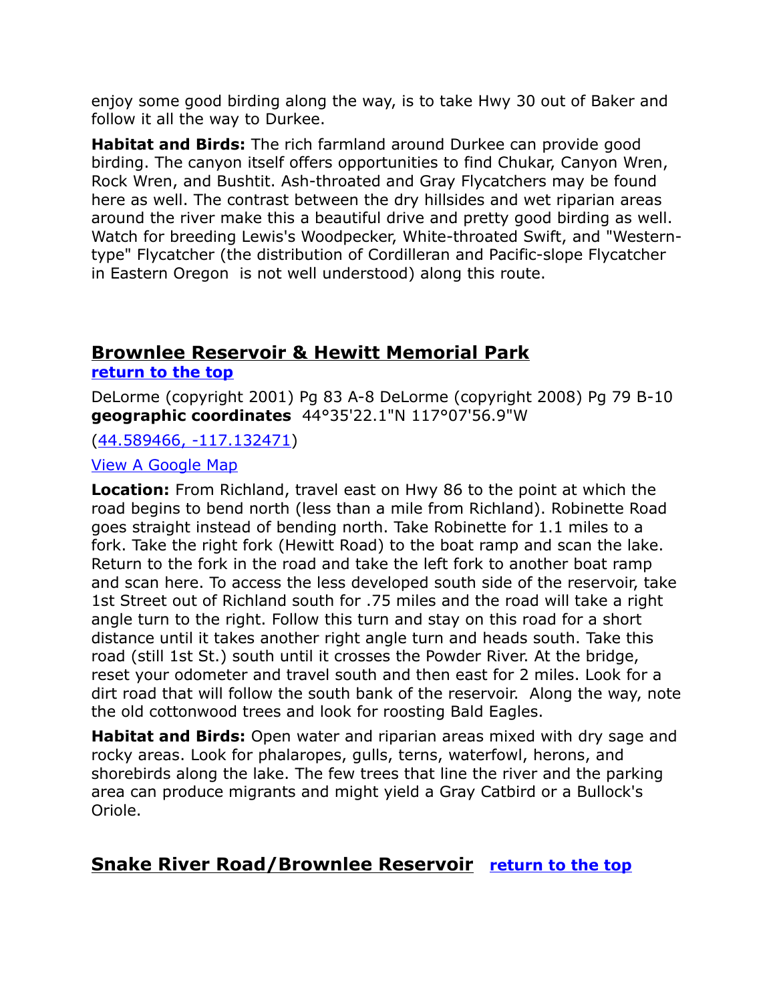enjoy some good birding along the way, is to take Hwy 30 out of Baker and follow it all the way to Durkee.

**Habitat and Birds:** The rich farmland around Durkee can provide good birding. The canyon itself offers opportunities to find Chukar, Canyon Wren, Rock Wren, and Bushtit. Ash-throated and Gray Flycatchers may be found here as well. The contrast between the dry hillsides and wet riparian areas around the river make this a beautiful drive and pretty good birding as well. Watch for breeding Lewis's Woodpecker, White-throated Swift, and "Westerntype" Flycatcher (the distribution of Cordilleran and Pacific-slope Flycatcher in Eastern Oregon is not well understood) along this route.

# <span id="page-18-1"></span>**Brownlee Reservoir & Hewitt Memorial Park**

#### **[return to the top](#page-0-0)**

DeLorme (copyright 2001) Pg 83 A-8 DeLorme (copyright 2008) Pg 79 B-10 **geographic coordinates** 44°35'22.1"N 117°07'56.9"W

[\(44.589466, -117.132471\)](https://www.google.com/maps/place/44%C2%B035)

#### [View A Google Map](http://maps.google.com/maps/ms?hl=en&ie=UTF8&msa=0&msid=108036481085398338899.000476290874631b06f60&ll=44.830552,-117.182922&spn=1.493984,4.22699&z=9)

**Location:** From Richland, travel east on Hwy 86 to the point at which the road begins to bend north (less than a mile from Richland). Robinette Road goes straight instead of bending north. Take Robinette for 1.1 miles to a fork. Take the right fork (Hewitt Road) to the boat ramp and scan the lake. Return to the fork in the road and take the left fork to another boat ramp and scan here. To access the less developed south side of the reservoir, take 1st Street out of Richland south for .75 miles and the road will take a right angle turn to the right. Follow this turn and stay on this road for a short distance until it takes another right angle turn and heads south. Take this road (still 1st St.) south until it crosses the Powder River. At the bridge, reset your odometer and travel south and then east for 2 miles. Look for a dirt road that will follow the south bank of the reservoir. Along the way, note the old cottonwood trees and look for roosting Bald Eagles.

**Habitat and Birds:** Open water and riparian areas mixed with dry sage and rocky areas. Look for phalaropes, gulls, terns, waterfowl, herons, and shorebirds along the lake. The few trees that line the river and the parking area can produce migrants and might yield a Gray Catbird or a Bullock's Oriole.

# <span id="page-18-0"></span>**Snake River Road/Brownlee Reservoir [return to the top](#page-0-0)**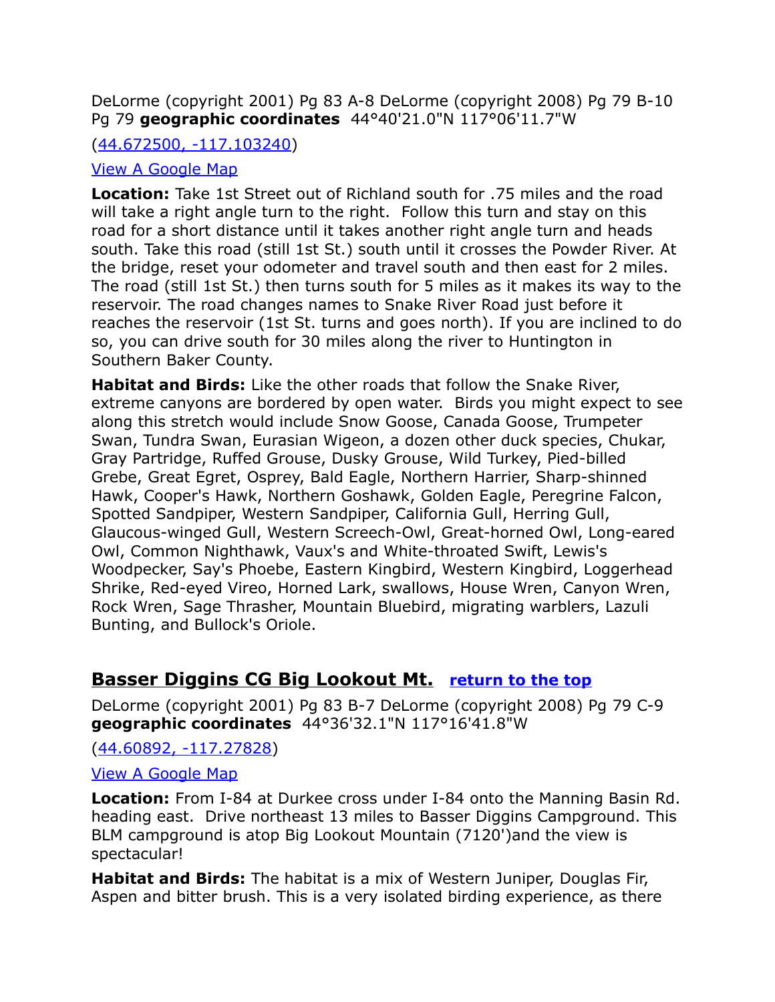DeLorme (copyright 2001) Pg 83 A-8 DeLorme (copyright 2008) Pg 79 B-10 Pg 79 **geographic coordinates** 44°40'21.0"N 117°06'11.7"W

#### [\(44.672500, -117.103240\)](https://www.google.com/maps/place/44%C2%B040)

#### [View A Google Map](http://maps.google.com/maps/ms?hl=en&ie=UTF8&msa=0&msid=108036481085398338899.000476290874631b06f60&ll=44.830552,-117.182922&spn=1.493984,4.22699&z=9)

**Location:** Take 1st Street out of Richland south for .75 miles and the road will take a right angle turn to the right. Follow this turn and stay on this road for a short distance until it takes another right angle turn and heads south. Take this road (still 1st St.) south until it crosses the Powder River. At the bridge, reset your odometer and travel south and then east for 2 miles. The road (still 1st St.) then turns south for 5 miles as it makes its way to the reservoir. The road changes names to Snake River Road just before it reaches the reservoir (1st St. turns and goes north). If you are inclined to do so, you can drive south for 30 miles along the river to Huntington in Southern Baker County.

**Habitat and Birds:** Like the other roads that follow the Snake River, extreme canyons are bordered by open water. Birds you might expect to see along this stretch would include Snow Goose, Canada Goose, Trumpeter Swan, Tundra Swan, Eurasian Wigeon, a dozen other duck species, Chukar, Gray Partridge, Ruffed Grouse, Dusky Grouse, Wild Turkey, Pied-billed Grebe, Great Egret, Osprey, Bald Eagle, Northern Harrier, Sharp-shinned Hawk, Cooper's Hawk, Northern Goshawk, Golden Eagle, Peregrine Falcon, Spotted Sandpiper, Western Sandpiper, California Gull, Herring Gull, Glaucous-winged Gull, Western Screech-Owl, Great-horned Owl, Long-eared Owl, Common Nighthawk, Vaux's and White-throated Swift, Lewis's Woodpecker, Say's Phoebe, Eastern Kingbird, Western Kingbird, Loggerhead Shrike, Red-eyed Vireo, Horned Lark, swallows, House Wren, Canyon Wren, Rock Wren, Sage Thrasher, Mountain Bluebird, migrating warblers, Lazuli Bunting, and Bullock's Oriole.

# <span id="page-19-0"></span>**Basser Diggins CG Big Lookout Mt. [return to the top](#page-0-0)**

DeLorme (copyright 2001) Pg 83 B-7 DeLorme (copyright 2008) Pg 79 C-9 **geographic coordinates** 44°36'32.1"N 117°16'41.8"W

[\(44.60892, -117.27828\)](https://www.google.com/maps/place/44%C2%B036)

#### [View A Google Map](http://maps.google.com/maps/ms?hl=en&ie=UTF8&msa=0&msid=108036481085398338899.0004762a41b181b176640&ll=44.286503,-117.222748&spn=0.673404,1.399384&z=10)

**Location:** From I-84 at Durkee cross under I-84 onto the Manning Basin Rd. heading east. Drive northeast 13 miles to Basser Diggins Campground. This BLM campground is atop Big Lookout Mountain (7120')and the view is spectacular!

**Habitat and Birds:** The habitat is a mix of Western Juniper, Douglas Fir, Aspen and bitter brush. This is a very isolated birding experience, as there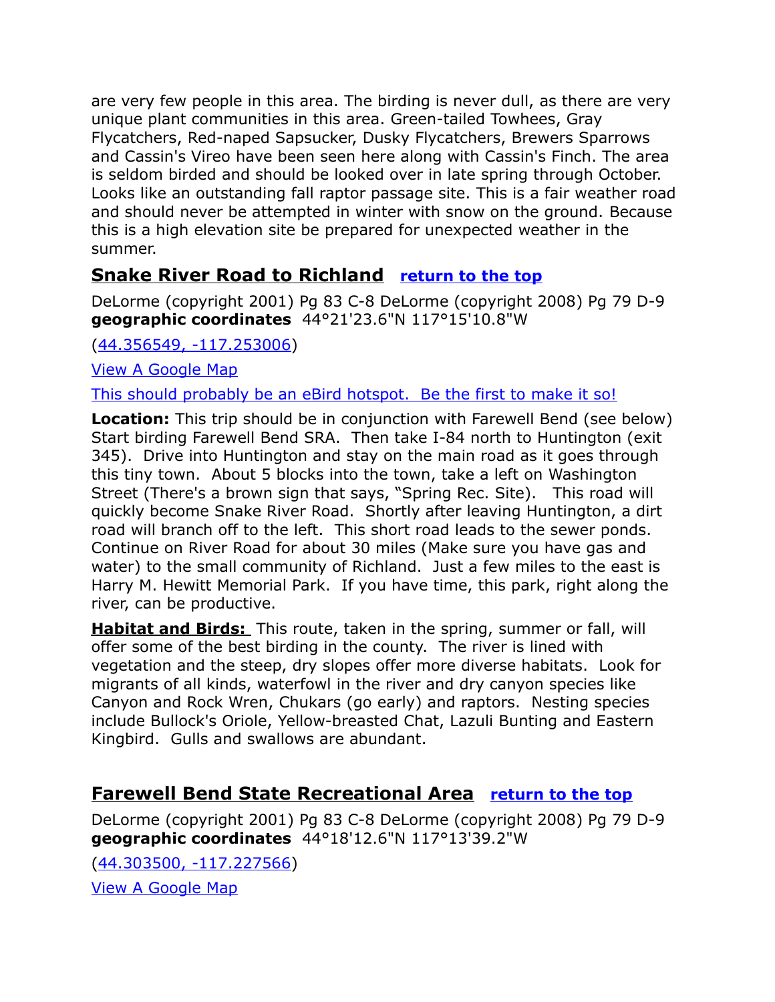are very few people in this area. The birding is never dull, as there are very unique plant communities in this area. Green-tailed Towhees, Gray Flycatchers, Red-naped Sapsucker, Dusky Flycatchers, Brewers Sparrows and Cassin's Vireo have been seen here along with Cassin's Finch. The area is seldom birded and should be looked over in late spring through October. Looks like an outstanding fall raptor passage site. This is a fair weather road and should never be attempted in winter with snow on the ground. Because this is a high elevation site be prepared for unexpected weather in the summer.

# <span id="page-20-0"></span>**Snake River Road to Richland [return to the top](#page-0-0)**

DeLorme (copyright 2001) Pg 83 C-8 DeLorme (copyright 2008) Pg 79 D-9 **geographic coordinates** 44°21'23.6"N 117°15'10.8"W

[\(44.356549, -117.253006\)](https://www.google.com/maps/place/44%C2%B021)

[View A Google Map](http://maps.google.com/maps/ms?hl=en&ie=UTF8&msa=0&msid=108036481085398338899.0004762a41b181b176640&ll=44.286503,-117.222748&spn=0.673404,1.399384&z=10)

This should probably be an eBird hotspot. Be the first to make it so!

**Location:** This trip should be in conjunction with Farewell Bend (see below) Start birding Farewell Bend SRA. Then take I-84 north to Huntington (exit 345). Drive into Huntington and stay on the main road as it goes through this tiny town. About 5 blocks into the town, take a left on Washington Street (There's a brown sign that says, "Spring Rec. Site). This road will quickly become Snake River Road. Shortly after leaving Huntington, a dirt road will branch off to the left. This short road leads to the sewer ponds. Continue on River Road for about 30 miles (Make sure you have gas and water) to the small community of Richland. Just a few miles to the east is Harry M. Hewitt Memorial Park. If you have time, this park, right along the river, can be productive.

 **Habitat and Birds:** This route, taken in the spring, summer or fall, will offer some of the best birding in the county. The river is lined with vegetation and the steep, dry slopes offer more diverse habitats. Look for migrants of all kinds, waterfowl in the river and dry canyon species like Canyon and Rock Wren, Chukars (go early) and raptors. Nesting species include Bullock's Oriole, Yellow-breasted Chat, Lazuli Bunting and Eastern Kingbird. Gulls and swallows are abundant.

# <span id="page-20-1"></span>**Farewell Bend State Recreational Area [return to the top](#page-0-0)**

DeLorme (copyright 2001) Pg 83 C-8 DeLorme (copyright 2008) Pg 79 D-9 **geographic coordinates** 44°18'12.6"N 117°13'39.2"W

[\(44.303500, -117.227566\)](https://www.google.com/maps/place/44%C2%B018) [View A Google Map](http://maps.google.com/maps/ms?hl=en&ie=UTF8&msa=0&msid=108036481085398338899.0004762a41b181b176640&ll=44.286503,-117.222748&spn=0.673404,1.399384&z=10)